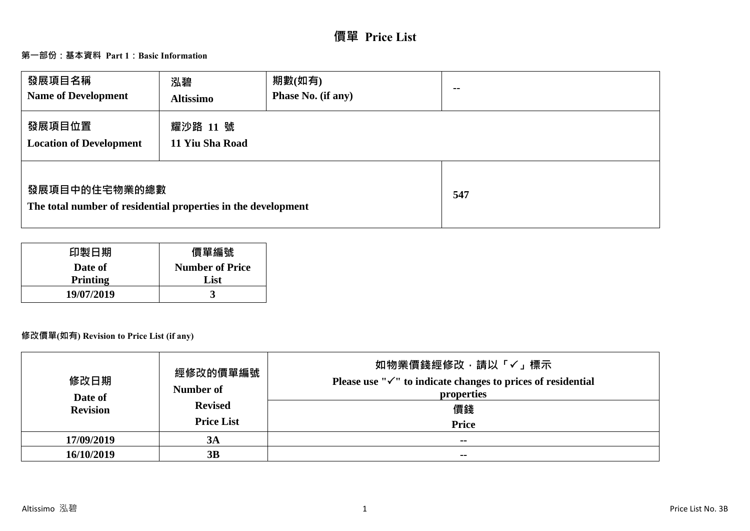# **價單 Price List**

# **第一部份:基本資料 Part 1:Basic Information**

| 發展項目名稱<br><b>Name of Development</b>                                           | 泓碧<br><b>Altissimo</b>      | 期數(如有)<br>Phase No. (if any) | $- -$ |
|--------------------------------------------------------------------------------|-----------------------------|------------------------------|-------|
| 發展項目位置<br><b>Location of Development</b>                                       | 耀沙路 11 號<br>11 Yiu Sha Road |                              |       |
| 發展項目中的住宅物業的總數<br>The total number of residential properties in the development |                             | 547                          |       |

| 印製日期            | 價單編號                   |
|-----------------|------------------------|
| Date of         | <b>Number of Price</b> |
| <b>Printing</b> | List                   |
| 19/07/2019      |                        |

# **修改價單(如有) Revision to Price List (if any)**

| 修改日期<br>Date of<br><b>Revision</b> | 經修改的價單編號<br>Number of<br><b>Revised</b><br><b>Price List</b> | 如物業價錢經修改,請以「✓」標示<br>Please use " $\checkmark$ " to indicate changes to prices of residential<br>properties<br>價錢<br><b>Price</b> |
|------------------------------------|--------------------------------------------------------------|----------------------------------------------------------------------------------------------------------------------------------|
| 17/09/2019                         | 3A                                                           | $- -$                                                                                                                            |
| 16/10/2019                         | 3B                                                           | $\sim$ $\sim$                                                                                                                    |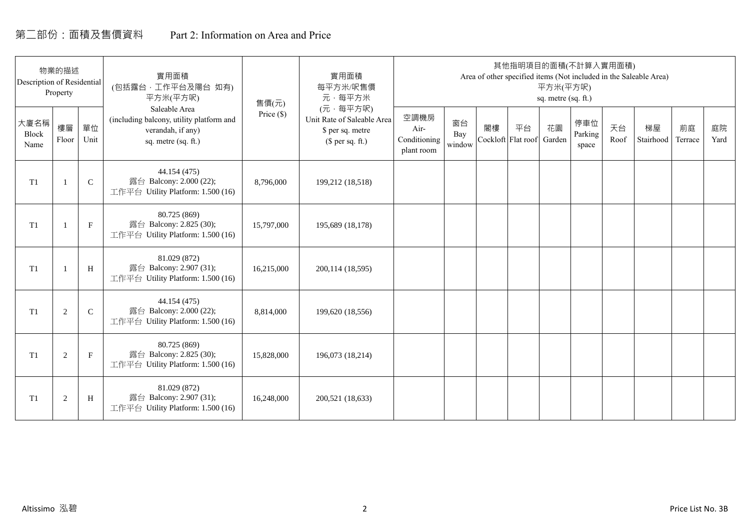# 第二部份:面積及售價資料 Part 2: Information on Area and Price

| Description of Residential | 物業的描述<br>Property |             | 實用面積<br>(包括露台,工作平台及陽台 如有)<br>平方米(平方呎)                                                                 | 售價(元)      | 實用面積<br>每平方米/呎售價<br>元·每平方米                                                     |                                            |                     |    | 其他指明項目的面積(不計算入實用面積)      | 平方米(平方呎)<br>sq. metre (sq. ft.) |                         |            | Area of other specified items (Not included in the Saleable Area) |               |            |
|----------------------------|-------------------|-------------|-------------------------------------------------------------------------------------------------------|------------|--------------------------------------------------------------------------------|--------------------------------------------|---------------------|----|--------------------------|---------------------------------|-------------------------|------------|-------------------------------------------------------------------|---------------|------------|
| 大廈名稱<br>Block<br>Name      | 樓層<br>Floor       | 單位<br>Unit  | Saleable Area<br>(including balcony, utility platform and<br>verandah, if any)<br>sq. metre (sq. ft.) | Price (\$) | (元·每平方呎)<br>Unit Rate of Saleable Area<br>\$ per sq. metre<br>$$$ per sq. ft.) | 空調機房<br>Air-<br>Conditioning<br>plant room | 窗台<br>Bay<br>window | 閣樓 | 平台<br>Cockloft Flat roof | 花園<br>Garden                    | 停車位<br>Parking<br>space | 天台<br>Roof | 梯屋<br>Stairhood                                                   | 前庭<br>Terrace | 庭院<br>Yard |
| T <sub>1</sub>             |                   | $\mathsf C$ | 44.154 (475)<br>露台 Balcony: 2.000 (22);<br>工作平台 Utility Platform: 1.500 (16)                          | 8,796,000  | 199,212 (18,518)                                                               |                                            |                     |    |                          |                                 |                         |            |                                                                   |               |            |
| T1                         |                   | $\mathbf F$ | 80.725 (869)<br>露台 Balcony: 2.825 (30);<br>工作平台 Utility Platform: 1.500 (16)                          | 15,797,000 | 195,689 (18,178)                                                               |                                            |                     |    |                          |                                 |                         |            |                                                                   |               |            |
| T <sub>1</sub>             |                   | H           | 81.029 (872)<br>露台 Balcony: 2.907 (31);<br>工作平台 Utility Platform: 1.500 (16)                          | 16,215,000 | 200,114 (18,595)                                                               |                                            |                     |    |                          |                                 |                         |            |                                                                   |               |            |
| T1                         | 2                 | $\mathbf C$ | 44.154 (475)<br>露台 Balcony: 2.000 (22);<br>工作平台 Utility Platform: 1.500 (16)                          | 8,814,000  | 199,620 (18,556)                                                               |                                            |                     |    |                          |                                 |                         |            |                                                                   |               |            |
| T1                         | 2                 | $\mathbf F$ | 80.725 (869)<br>露台 Balcony: 2.825 (30);<br>工作平台 Utility Platform: 1.500 (16)                          | 15,828,000 | 196,073 (18,214)                                                               |                                            |                     |    |                          |                                 |                         |            |                                                                   |               |            |
| T1                         | $\overline{2}$    | H           | 81.029 (872)<br>露台 Balcony: 2.907 (31);<br>工作平台 Utility Platform: 1.500 (16)                          | 16,248,000 | 200,521 (18,633)                                                               |                                            |                     |    |                          |                                 |                         |            |                                                                   |               |            |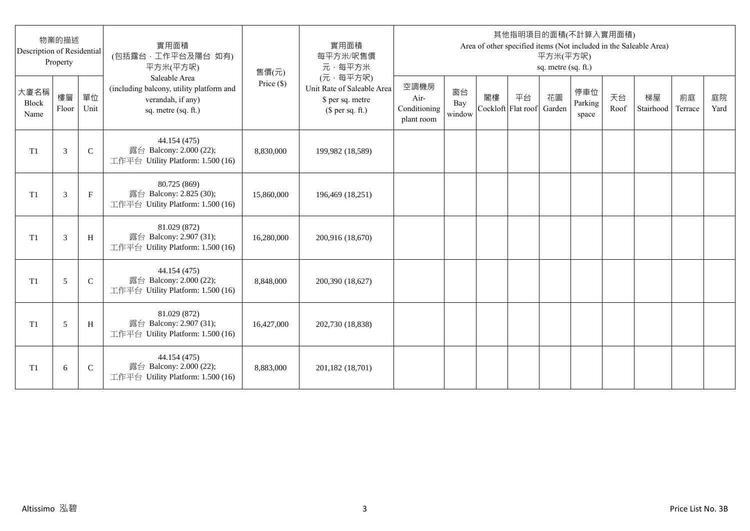| Description of Residential | 物業的描述<br>Property |              | 實用面積<br>(包括露台,工作平台及陽台 如有)<br>平方米(平方呎)                                                                 | 售價(元)      | 實用面積<br>每平方米/呎售價<br>元·每平方米                                                     |                                            |                     |    |                          | 平方米(平方呎)<br>sq. metre (sq. ft.) | 其他指明項目的面積(不計算入實用面積)     |            | Area of other specified items (Not included in the Saleable Area) |               |            |
|----------------------------|-------------------|--------------|-------------------------------------------------------------------------------------------------------|------------|--------------------------------------------------------------------------------|--------------------------------------------|---------------------|----|--------------------------|---------------------------------|-------------------------|------------|-------------------------------------------------------------------|---------------|------------|
| 大廈名稱<br>Block<br>Name      | 樓層<br>Floor       | 單位<br>Unit   | Saleable Area<br>(including balcony, utility platform and<br>verandah, if any)<br>sq. metre (sq. ft.) | Price (\$) | (元·每平方呎)<br>Unit Rate of Saleable Area<br>\$ per sq. metre<br>$$$ per sq. ft.) | 空調機房<br>Air-<br>Conditioning<br>plant room | 窗台<br>Bay<br>window | 閣樓 | 平台<br>Cockloft Flat roof | 花園<br>Garden                    | 停車位<br>Parking<br>space | 天台<br>Roof | 梯屋<br>Stairhood                                                   | 前庭<br>Terrace | 庭院<br>Yard |
| T <sub>1</sub>             | 3                 | $\mathsf{C}$ | 44.154 (475)<br>露台 Balcony: 2.000 (22);<br>工作平台 Utility Platform: 1.500 (16)                          | 8,830,000  | 199,982 (18,589)                                                               |                                            |                     |    |                          |                                 |                         |            |                                                                   |               |            |
| T <sub>1</sub>             | 3                 | $_{\rm F}$   | 80.725 (869)<br>露台 Balcony: 2.825 (30);<br>工作平台 Utility Platform: 1.500 (16)                          | 15,860,000 | 196,469 (18,251)                                                               |                                            |                     |    |                          |                                 |                         |            |                                                                   |               |            |
| T1                         | 3                 | H            | 81.029 (872)<br>露台 Balcony: 2.907 (31);<br>工作平台 Utility Platform: 1.500 (16)                          | 16,280,000 | 200,916 (18,670)                                                               |                                            |                     |    |                          |                                 |                         |            |                                                                   |               |            |
| T1                         | 5                 | $\mathsf{C}$ | 44.154 (475)<br>露台 Balcony: 2.000 (22);<br>工作平台 Utility Platform: 1.500 (16)                          | 8,848,000  | 200,390 (18,627)                                                               |                                            |                     |    |                          |                                 |                         |            |                                                                   |               |            |
| T1                         | 5                 | H            | 81.029 (872)<br>露台 Balcony: 2.907 (31);<br>工作平台 Utility Platform: 1.500 (16)                          | 16,427,000 | 202,730 (18,838)                                                               |                                            |                     |    |                          |                                 |                         |            |                                                                   |               |            |
| T <sub>1</sub>             | 6                 | $\mathsf{C}$ | 44.154 (475)<br>露台 Balcony: 2.000 (22);<br>工作平台 Utility Platform: 1.500 (16)                          | 8,883,000  | 201,182 (18,701)                                                               |                                            |                     |    |                          |                                 |                         |            |                                                                   |               |            |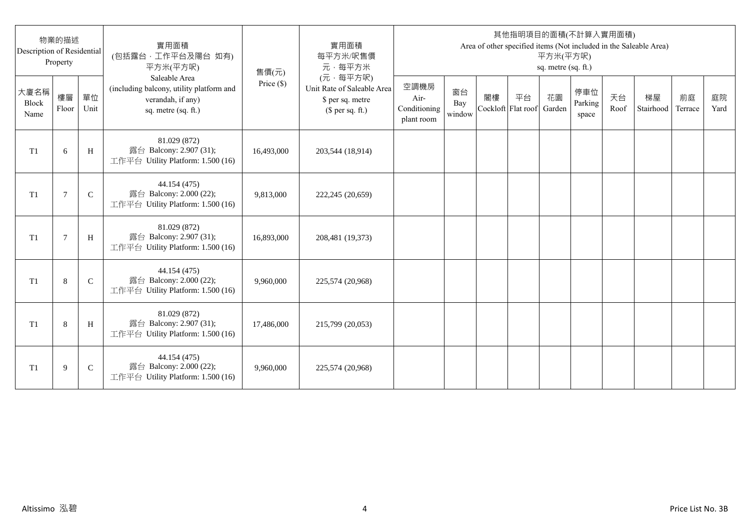| Description of Residential | 物業的描述<br>Property |              | 實用面積<br>(包括露台,工作平台及陽台 如有)<br>平方米(平方呎)                                                                 | 售價(元)      | 實用面積<br>每平方米/呎售價<br>元·每平方米                                                     |                                            |                     |    |                          | 平方米(平方呎)<br>sq. metre (sq. ft.) | 其他指明項目的面積(不計算入實用面積)     |            | Area of other specified items (Not included in the Saleable Area) |               |            |
|----------------------------|-------------------|--------------|-------------------------------------------------------------------------------------------------------|------------|--------------------------------------------------------------------------------|--------------------------------------------|---------------------|----|--------------------------|---------------------------------|-------------------------|------------|-------------------------------------------------------------------|---------------|------------|
| 大廈名稱<br>Block<br>Name      | 樓層<br>Floor       | 單位<br>Unit   | Saleable Area<br>(including balcony, utility platform and<br>verandah, if any)<br>sq. metre (sq. ft.) | Price (\$) | (元·每平方呎)<br>Unit Rate of Saleable Area<br>\$ per sq. metre<br>$$$ per sq. ft.) | 空調機房<br>Air-<br>Conditioning<br>plant room | 窗台<br>Bay<br>window | 閣樓 | 平台<br>Cockloft Flat roof | 花園<br>Garden                    | 停車位<br>Parking<br>space | 天台<br>Roof | 梯屋<br>Stairhood                                                   | 前庭<br>Terrace | 庭院<br>Yard |
| T <sub>1</sub>             | 6                 | H            | 81.029 (872)<br>露台 Balcony: 2.907 (31);<br>工作平台 Utility Platform: 1.500 (16)                          | 16,493,000 | 203,544 (18,914)                                                               |                                            |                     |    |                          |                                 |                         |            |                                                                   |               |            |
| T <sub>1</sub>             | 7                 | $\mathsf{C}$ | 44.154 (475)<br>露台 Balcony: 2.000 (22);<br>工作平台 Utility Platform: 1.500 (16)                          | 9,813,000  | 222,245 (20,659)                                                               |                                            |                     |    |                          |                                 |                         |            |                                                                   |               |            |
| T1                         | $\overline{7}$    | H            | 81.029 (872)<br>露台 Balcony: 2.907 (31);<br>工作平台 Utility Platform: 1.500 (16)                          | 16,893,000 | 208,481 (19,373)                                                               |                                            |                     |    |                          |                                 |                         |            |                                                                   |               |            |
| T1                         | 8                 | $\mathsf{C}$ | 44.154 (475)<br>露台 Balcony: 2.000 (22);<br>工作平台 Utility Platform: 1.500 (16)                          | 9,960,000  | 225,574 (20,968)                                                               |                                            |                     |    |                          |                                 |                         |            |                                                                   |               |            |
| T1                         | 8                 | H            | 81.029 (872)<br>露台 Balcony: 2.907 (31);<br>工作平台 Utility Platform: 1.500 (16)                          | 17,486,000 | 215,799 (20,053)                                                               |                                            |                     |    |                          |                                 |                         |            |                                                                   |               |            |
| T <sub>1</sub>             | 9                 | $\mathsf{C}$ | 44.154 (475)<br>露台 Balcony: 2.000 (22);<br>工作平台 Utility Platform: 1.500 (16)                          | 9,960,000  | 225,574 (20,968)                                                               |                                            |                     |    |                          |                                 |                         |            |                                                                   |               |            |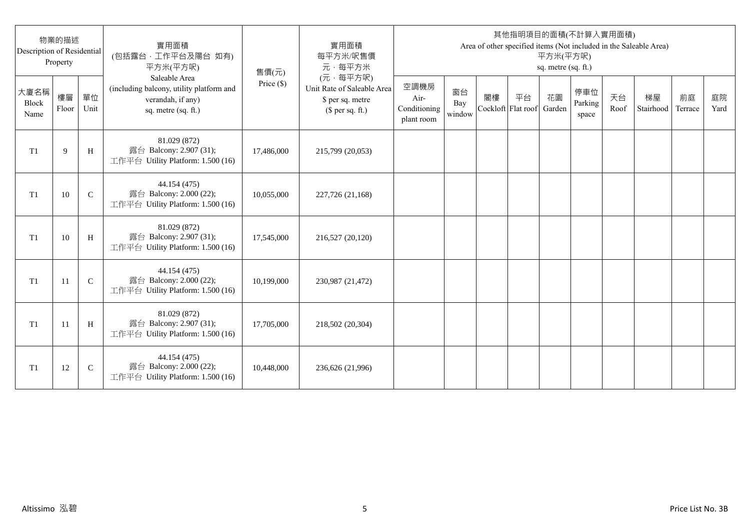| Description of Residential | 物業的描述<br>Property |              | 實用面積<br>(包括露台,工作平台及陽台 如有)<br>平方米(平方呎)                                                                 | 售價(元)      | 實用面積<br>每平方米/呎售價<br>元·每平方米                                                     |                                            |                     |                          |    | 平方米(平方呎)<br>sq. metre (sq. ft.) | 其他指明項目的面積(不計算入實用面積)     |            | Area of other specified items (Not included in the Saleable Area) |               |            |
|----------------------------|-------------------|--------------|-------------------------------------------------------------------------------------------------------|------------|--------------------------------------------------------------------------------|--------------------------------------------|---------------------|--------------------------|----|---------------------------------|-------------------------|------------|-------------------------------------------------------------------|---------------|------------|
| 大廈名稱<br>Block<br>Name      | 樓層<br>Floor       | 單位<br>Unit   | Saleable Area<br>(including balcony, utility platform and<br>verandah, if any)<br>sq. metre (sq. ft.) | Price (\$) | (元·每平方呎)<br>Unit Rate of Saleable Area<br>\$ per sq. metre<br>$$$ per sq. ft.) | 空調機房<br>Air-<br>Conditioning<br>plant room | 窗台<br>Bay<br>window | 閣樓<br>Cockloft Flat roof | 平台 | 花園<br>Garden                    | 停車位<br>Parking<br>space | 天台<br>Roof | 梯屋<br>Stairhood                                                   | 前庭<br>Terrace | 庭院<br>Yard |
| T <sub>1</sub>             | 9                 | H            | 81.029 (872)<br>露台 Balcony: 2.907 (31);<br>工作平台 Utility Platform: 1.500 (16)                          | 17,486,000 | 215,799 (20,053)                                                               |                                            |                     |                          |    |                                 |                         |            |                                                                   |               |            |
| T <sub>1</sub>             | 10                | $\mathsf{C}$ | 44.154 (475)<br>露台 Balcony: 2.000 (22);<br>工作平台 Utility Platform: 1.500 (16)                          | 10,055,000 | 227,726 (21,168)                                                               |                                            |                     |                          |    |                                 |                         |            |                                                                   |               |            |
| T1                         | 10                | H            | 81.029 (872)<br>露台 Balcony: 2.907 (31);<br>工作平台 Utility Platform: 1.500 (16)                          | 17,545,000 | 216,527 (20,120)                                                               |                                            |                     |                          |    |                                 |                         |            |                                                                   |               |            |
| T1                         | 11                | $\mathbf C$  | 44.154 (475)<br>露台 Balcony: 2.000 (22);<br>工作平台 Utility Platform: 1.500 (16)                          | 10,199,000 | 230,987 (21,472)                                                               |                                            |                     |                          |    |                                 |                         |            |                                                                   |               |            |
| T1                         | -11               | H            | 81.029 (872)<br>露台 Balcony: 2.907 (31);<br>工作平台 Utility Platform: 1.500 (16)                          | 17,705,000 | 218,502 (20,304)                                                               |                                            |                     |                          |    |                                 |                         |            |                                                                   |               |            |
| T <sub>1</sub>             | 12                | $\mathsf{C}$ | 44.154 (475)<br>露台 Balcony: 2.000 (22);<br>工作平台 Utility Platform: 1.500 (16)                          | 10,448,000 | 236,626 (21,996)                                                               |                                            |                     |                          |    |                                 |                         |            |                                                                   |               |            |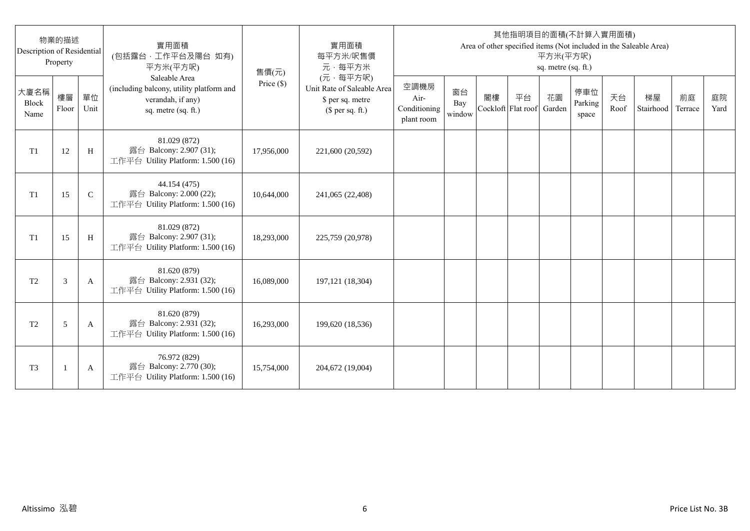| Description of Residential | 物業的描述<br>Property |              | 實用面積<br>(包括露台,工作平台及陽台 如有)<br>平方米(平方呎)                                                                 | 售價(元)      | 實用面積<br>每平方米/呎售價<br>元·每平方米                                                     |                                            |                     |                          |    | 平方米(平方呎)<br>sq. metre (sq. ft.) | 其他指明項目的面積(不計算入實用面積)     |            | Area of other specified items (Not included in the Saleable Area) |               |            |
|----------------------------|-------------------|--------------|-------------------------------------------------------------------------------------------------------|------------|--------------------------------------------------------------------------------|--------------------------------------------|---------------------|--------------------------|----|---------------------------------|-------------------------|------------|-------------------------------------------------------------------|---------------|------------|
| 大廈名稱<br>Block<br>Name      | 樓層<br>Floor       | 單位<br>Unit   | Saleable Area<br>(including balcony, utility platform and<br>verandah, if any)<br>sq. metre (sq. ft.) | Price (\$) | (元·每平方呎)<br>Unit Rate of Saleable Area<br>\$ per sq. metre<br>$$$ per sq. ft.) | 空調機房<br>Air-<br>Conditioning<br>plant room | 窗台<br>Bay<br>window | 閣樓<br>Cockloft Flat roof | 平台 | 花園<br>Garden                    | 停車位<br>Parking<br>space | 天台<br>Roof | 梯屋<br>Stairhood                                                   | 前庭<br>Terrace | 庭院<br>Yard |
| T1                         | 12                | H            | 81.029 (872)<br>露台 Balcony: 2.907 (31);<br>工作平台 Utility Platform: 1.500 (16)                          | 17,956,000 | 221,600 (20,592)                                                               |                                            |                     |                          |    |                                 |                         |            |                                                                   |               |            |
| T1                         | 15                | $\mathsf{C}$ | 44.154 (475)<br>露台 Balcony: 2.000 (22);<br>工作平台 Utility Platform: 1.500 (16)                          | 10,644,000 | 241,065 (22,408)                                                               |                                            |                     |                          |    |                                 |                         |            |                                                                   |               |            |
| T1                         | 15                | H            | 81.029 (872)<br>露台 Balcony: 2.907 (31);<br>工作平台 Utility Platform: 1.500 (16)                          | 18,293,000 | 225,759 (20,978)                                                               |                                            |                     |                          |    |                                 |                         |            |                                                                   |               |            |
| T <sub>2</sub>             | 3                 | A            | 81.620 (879)<br>露台 Balcony: 2.931 (32);<br>工作平台 Utility Platform: 1.500 (16)                          | 16,089,000 | 197, 121 (18, 304)                                                             |                                            |                     |                          |    |                                 |                         |            |                                                                   |               |            |
| T <sub>2</sub>             | 5                 | A            | 81.620 (879)<br>露台 Balcony: 2.931 (32);<br>工作平台 Utility Platform: 1.500 (16)                          | 16,293,000 | 199,620 (18,536)                                                               |                                            |                     |                          |    |                                 |                         |            |                                                                   |               |            |
| T <sub>3</sub>             |                   | A            | 76.972 (829)<br>露台 Balcony: 2.770 (30);<br>工作平台 Utility Platform: 1.500 (16)                          | 15,754,000 | 204,672 (19,004)                                                               |                                            |                     |                          |    |                                 |                         |            |                                                                   |               |            |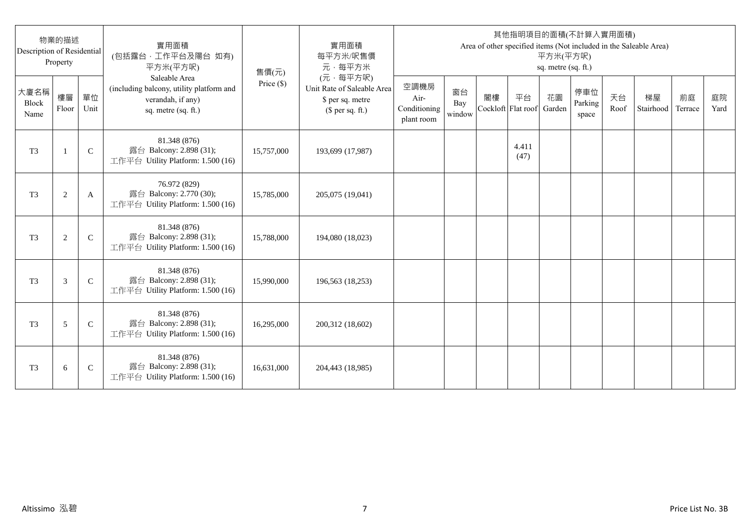| Description of Residential | 物業的描述<br>Property |               | 實用面積<br>(包括露台,工作平台及陽台 如有)<br>平方米(平方呎)                                                                 | 售價(元)      | 實用面積<br>每平方米/呎售價<br>元·每平方米                                                     |                                            |                     |                          |               | 平方米(平方呎)<br>sq. metre (sq. ft.) | 其他指明項目的面積(不計算入實用面積)     |            | Area of other specified items (Not included in the Saleable Area) |               |            |
|----------------------------|-------------------|---------------|-------------------------------------------------------------------------------------------------------|------------|--------------------------------------------------------------------------------|--------------------------------------------|---------------------|--------------------------|---------------|---------------------------------|-------------------------|------------|-------------------------------------------------------------------|---------------|------------|
| 大廈名稱<br>Block<br>Name      | 樓層<br>Floor       | 單位<br>Unit    | Saleable Area<br>(including balcony, utility platform and<br>verandah, if any)<br>sq. metre (sq. ft.) | Price (\$) | (元·每平方呎)<br>Unit Rate of Saleable Area<br>\$ per sq. metre<br>$$$ per sq. ft.) | 空調機房<br>Air-<br>Conditioning<br>plant room | 窗台<br>Bay<br>window | 閣樓<br>Cockloft Flat roof | 平台            | 花園<br>Garden                    | 停車位<br>Parking<br>space | 天台<br>Roof | 梯屋<br>Stairhood                                                   | 前庭<br>Terrace | 庭院<br>Yard |
| T <sub>3</sub>             | $\mathbf{1}$      | $\mathsf{C}$  | 81.348 (876)<br>露台 Balcony: 2.898 (31);<br>工作平台 Utility Platform: 1.500 (16)                          | 15,757,000 | 193,699 (17,987)                                                               |                                            |                     |                          | 4.411<br>(47) |                                 |                         |            |                                                                   |               |            |
| T <sub>3</sub>             | $\sqrt{2}$        | A             | 76.972 (829)<br>露台 Balcony: 2.770 (30);<br>工作平台 Utility Platform: 1.500 (16)                          | 15,785,000 | 205,075 (19,041)                                                               |                                            |                     |                          |               |                                 |                         |            |                                                                   |               |            |
| T <sub>3</sub>             | 2                 | $\mathcal{C}$ | 81.348 (876)<br>露台 Balcony: 2.898 (31);<br>工作平台 Utility Platform: 1.500 (16)                          | 15,788,000 | 194,080 (18,023)                                                               |                                            |                     |                          |               |                                 |                         |            |                                                                   |               |            |
| T <sub>3</sub>             | 3                 | $\mathcal{C}$ | 81.348 (876)<br>露台 Balcony: 2.898 (31);<br>工作平台 Utility Platform: 1.500 (16)                          | 15,990,000 | 196,563 (18,253)                                                               |                                            |                     |                          |               |                                 |                         |            |                                                                   |               |            |
| T <sub>3</sub>             | 5                 | $\mathsf{C}$  | 81.348 (876)<br>露台 Balcony: 2.898 (31);<br>工作平台 Utility Platform: 1.500 (16)                          | 16,295,000 | 200,312 (18,602)                                                               |                                            |                     |                          |               |                                 |                         |            |                                                                   |               |            |
| T <sub>3</sub>             | 6                 | $\mathsf{C}$  | 81.348 (876)<br>露台 Balcony: 2.898 (31);<br>工作平台 Utility Platform: 1.500 (16)                          | 16,631,000 | 204,443 (18,985)                                                               |                                            |                     |                          |               |                                 |                         |            |                                                                   |               |            |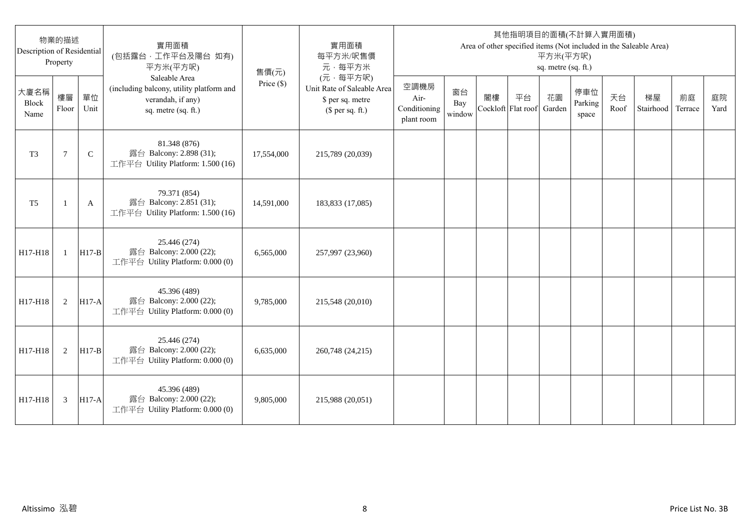| Description of Residential | 物業的描述<br>Property |              | 實用面積<br>(包括露台,工作平台及陽台 如有)<br>平方米(平方呎)                                                                 | 售價(元)      | 實用面積<br>每平方米/呎售價<br>元·每平方米                                                     |                                            |                     |                          |    | 平方米(平方呎)<br>sq. metre (sq. ft.) | 其他指明項目的面積(不計算入實用面積)     |            | Area of other specified items (Not included in the Saleable Area) |               |            |
|----------------------------|-------------------|--------------|-------------------------------------------------------------------------------------------------------|------------|--------------------------------------------------------------------------------|--------------------------------------------|---------------------|--------------------------|----|---------------------------------|-------------------------|------------|-------------------------------------------------------------------|---------------|------------|
| 大廈名稱<br>Block<br>Name      | 樓層<br>Floor       | 單位<br>Unit   | Saleable Area<br>(including balcony, utility platform and<br>verandah, if any)<br>sq. metre (sq. ft.) | Price (\$) | (元·每平方呎)<br>Unit Rate of Saleable Area<br>\$ per sq. metre<br>$$$ per sq. ft.) | 空調機房<br>Air-<br>Conditioning<br>plant room | 窗台<br>Bay<br>window | 閣樓<br>Cockloft Flat roof | 平台 | 花園<br>Garden                    | 停車位<br>Parking<br>space | 天台<br>Roof | 梯屋<br>Stairhood                                                   | 前庭<br>Terrace | 庭院<br>Yard |
| T <sub>3</sub>             | $\tau$            | $\mathsf{C}$ | 81.348 (876)<br>露台 Balcony: 2.898 (31);<br>工作平台 Utility Platform: 1.500 (16)                          | 17,554,000 | 215,789 (20,039)                                                               |                                            |                     |                          |    |                                 |                         |            |                                                                   |               |            |
| T <sub>5</sub>             |                   | A            | 79.371 (854)<br>露台 Balcony: 2.851 (31);<br>工作平台 Utility Platform: 1.500 (16)                          | 14,591,000 | 183,833 (17,085)                                                               |                                            |                     |                          |    |                                 |                         |            |                                                                   |               |            |
| H17-H18                    | $\mathbf{1}$      | $H17-B$      | 25.446 (274)<br>露台 Balcony: 2.000 (22);<br>工作平台 Utility Platform: 0.000 (0)                           | 6,565,000  | 257,997 (23,960)                                                               |                                            |                     |                          |    |                                 |                         |            |                                                                   |               |            |
| H17-H18                    | 2                 | $H17-A$      | 45.396 (489)<br>露台 Balcony: 2.000 (22);<br>工作平台 Utility Platform: 0.000 (0)                           | 9,785,000  | 215,548 (20,010)                                                               |                                            |                     |                          |    |                                 |                         |            |                                                                   |               |            |
| H17-H18                    | 2                 | $H17-B$      | 25.446 (274)<br>露台 Balcony: 2.000 (22);<br>工作平台 Utility Platform: 0.000 (0)                           | 6,635,000  | 260,748 (24,215)                                                               |                                            |                     |                          |    |                                 |                         |            |                                                                   |               |            |
| H17-H18                    | 3                 | <b>H17-A</b> | 45.396 (489)<br>露台 Balcony: 2.000 (22);<br>工作平台 Utility Platform: 0.000 (0)                           | 9,805,000  | 215,988 (20,051)                                                               |                                            |                     |                          |    |                                 |                         |            |                                                                   |               |            |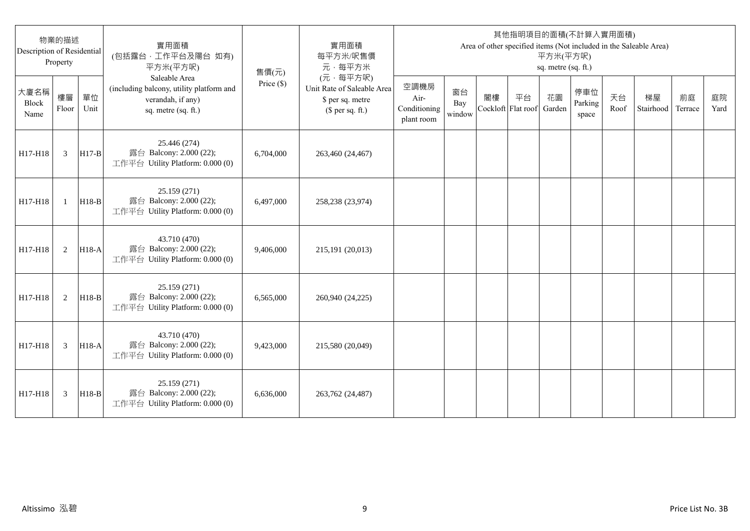| Description of Residential | 物業的描述<br>Property |            | 實用面積<br>(包括露台,工作平台及陽台 如有)<br>平方米(平方呎)                                                                 | 售價(元)        | 實用面積<br>每平方米/呎售價<br>元·每平方米                                                     |                                            |                     |                          |    | 平方米(平方呎)<br>sq. metre (sq. ft.) | 其他指明項目的面積(不計算入實用面積)     |            | Area of other specified items (Not included in the Saleable Area) |               |            |
|----------------------------|-------------------|------------|-------------------------------------------------------------------------------------------------------|--------------|--------------------------------------------------------------------------------|--------------------------------------------|---------------------|--------------------------|----|---------------------------------|-------------------------|------------|-------------------------------------------------------------------|---------------|------------|
| 大廈名稱<br>Block<br>Name      | 樓層<br>Floor       | 單位<br>Unit | Saleable Area<br>(including balcony, utility platform and<br>verandah, if any)<br>sq. metre (sq. ft.) | Price $(\$)$ | (元·每平方呎)<br>Unit Rate of Saleable Area<br>\$ per sq. metre<br>$$$ per sq. ft.) | 空調機房<br>Air-<br>Conditioning<br>plant room | 窗台<br>Bay<br>window | 閣樓<br>Cockloft Flat roof | 平台 | 花園<br>Garden                    | 停車位<br>Parking<br>space | 天台<br>Roof | 梯屋<br>Stairhood                                                   | 前庭<br>Terrace | 庭院<br>Yard |
| H17-H18                    | 3                 | $H17-B$    | 25.446 (274)<br>露台 Balcony: 2.000 (22);<br>工作平台 Utility Platform: 0.000 (0)                           | 6,704,000    | 263,460 (24,467)                                                               |                                            |                     |                          |    |                                 |                         |            |                                                                   |               |            |
| H17-H18                    | $\mathbf{1}$      | $H18-B$    | 25.159 (271)<br>露台 Balcony: 2.000 (22);<br>工作平台 Utility Platform: 0.000 (0)                           | 6.497,000    | 258,238 (23,974)                                                               |                                            |                     |                          |    |                                 |                         |            |                                                                   |               |            |
| H17-H18                    | 2                 | $H18-A$    | 43.710 (470)<br>露台 Balcony: 2.000 (22);<br>工作平台 Utility Platform: 0.000 (0)                           | 9,406,000    | 215,191 (20,013)                                                               |                                            |                     |                          |    |                                 |                         |            |                                                                   |               |            |
| H17-H18                    | 2                 | $H18-B$    | 25.159 (271)<br>露台 Balcony: 2.000 (22);<br>工作平台 Utility Platform: 0.000 (0)                           | 6,565,000    | 260,940 (24,225)                                                               |                                            |                     |                          |    |                                 |                         |            |                                                                   |               |            |
| H17-H18                    | 3                 | $H18-A$    | 43.710 (470)<br>露台 Balcony: 2.000 (22);<br>工作平台 Utility Platform: 0.000 (0)                           | 9,423,000    | 215,580 (20,049)                                                               |                                            |                     |                          |    |                                 |                         |            |                                                                   |               |            |
| H17-H18                    | 3                 | $H18-B$    | 25.159 (271)<br>露台 Balcony: 2.000 (22);<br>工作平台 Utility Platform: 0.000 (0)                           | 6.636,000    | 263,762 (24,487)                                                               |                                            |                     |                          |    |                                 |                         |            |                                                                   |               |            |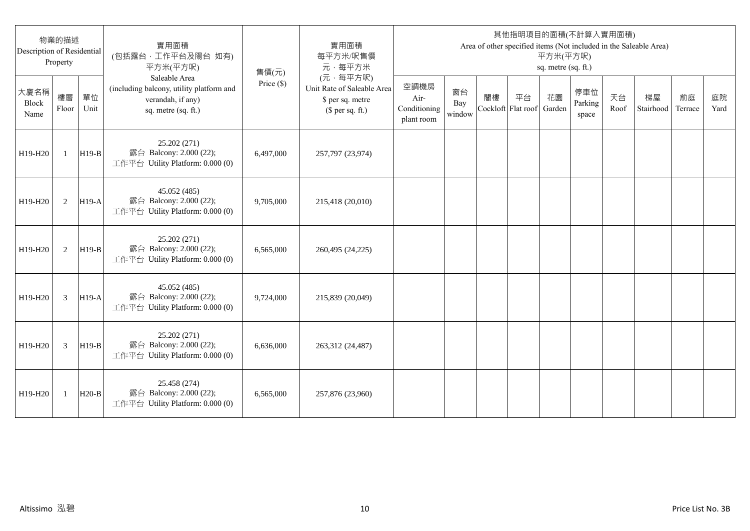| Description of Residential   | 物業的描述<br>Property |            | 實用面積<br>(包括露台,工作平台及陽台 如有)<br>平方米(平方呎)                                                                 | 售價(元)      | 實用面積<br>每平方米/呎售價<br>元·每平方米                                                     |                                            |                     |                          |    | 平方米(平方呎)<br>sq. metre (sq. ft.) | 其他指明項目的面積(不計算入實用面積)     |            | Area of other specified items (Not included in the Saleable Area) |               |            |
|------------------------------|-------------------|------------|-------------------------------------------------------------------------------------------------------|------------|--------------------------------------------------------------------------------|--------------------------------------------|---------------------|--------------------------|----|---------------------------------|-------------------------|------------|-------------------------------------------------------------------|---------------|------------|
| 大廈名稱<br><b>Block</b><br>Name | 樓層<br>Floor       | 單位<br>Unit | Saleable Area<br>(including balcony, utility platform and<br>verandah, if any)<br>sq. metre (sq. ft.) | Price (\$) | (元·每平方呎)<br>Unit Rate of Saleable Area<br>\$ per sq. metre<br>$$$ per sq. ft.) | 空調機房<br>Air-<br>Conditioning<br>plant room | 窗台<br>Bay<br>window | 閣樓<br>Cockloft Flat roof | 平台 | 花園<br>Garden                    | 停車位<br>Parking<br>space | 天台<br>Roof | 梯屋<br>Stairhood                                                   | 前庭<br>Terrace | 庭院<br>Yard |
| H19-H20                      | $\mathbf{1}$      | $H19-B$    | 25.202 (271)<br>露台 Balcony: 2.000 (22);<br>工作平台 Utility Platform: 0.000 (0)                           | 6,497,000  | 257,797 (23,974)                                                               |                                            |                     |                          |    |                                 |                         |            |                                                                   |               |            |
| H19-H20                      | 2                 | $H19-A$    | 45.052 (485)<br>露台 Balcony: 2.000 (22);<br>工作平台 Utility Platform: 0.000 (0)                           | 9,705,000  | 215,418 (20,010)                                                               |                                            |                     |                          |    |                                 |                         |            |                                                                   |               |            |
| H19-H20                      | 2                 | $H19-B$    | 25.202 (271)<br>露台 Balcony: 2.000 (22);<br>工作平台 Utility Platform: 0.000 (0)                           | 6,565,000  | 260,495 (24,225)                                                               |                                            |                     |                          |    |                                 |                         |            |                                                                   |               |            |
| H19-H20                      | 3                 | $H19-A$    | 45.052 (485)<br>露台 Balcony: 2.000 (22);<br>工作平台 Utility Platform: 0.000 (0)                           | 9,724,000  | 215,839 (20,049)                                                               |                                            |                     |                          |    |                                 |                         |            |                                                                   |               |            |
| H19-H20                      | 3                 | $H19-B$    | 25.202 (271)<br>露台 Balcony: 2.000 (22);<br>工作平台 Utility Platform: 0.000 (0)                           | 6,636,000  | 263,312 (24,487)                                                               |                                            |                     |                          |    |                                 |                         |            |                                                                   |               |            |
| H19-H20                      | 1                 | $H20-B$    | 25.458 (274)<br>露台 Balcony: 2.000 (22);<br>工作平台 Utility Platform: 0.000 (0)                           | 6,565,000  | 257,876 (23,960)                                                               |                                            |                     |                          |    |                                 |                         |            |                                                                   |               |            |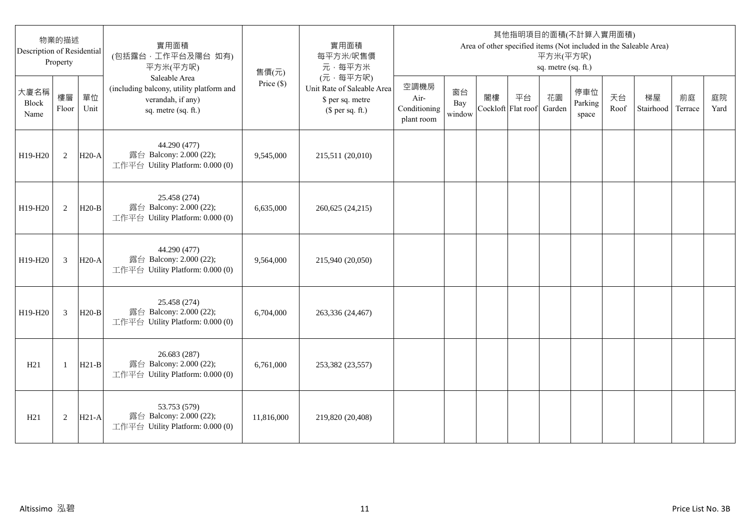| 物業的描述<br>Description of Residential<br>Property |                |            | 實用面積<br>(包括露台,工作平台及陽台 如有)<br>平方米(平方呎)                                                                 | 售價(元)        | 實用面積<br>每平方米/呎售價<br>元·每平方米                                                     | 其他指明項目的面積(不計算入實用面積)<br>Area of other specified items (Not included in the Saleable Area)<br>平方米(平方呎)<br>sq. metre (sq. ft.) |                     |                          |    |              |                         |            |                 |               |            |
|-------------------------------------------------|----------------|------------|-------------------------------------------------------------------------------------------------------|--------------|--------------------------------------------------------------------------------|-----------------------------------------------------------------------------------------------------------------------------|---------------------|--------------------------|----|--------------|-------------------------|------------|-----------------|---------------|------------|
| 大廈名稱<br>Block<br>Name                           | 樓層<br>Floor    | 單位<br>Unit | Saleable Area<br>(including balcony, utility platform and<br>verandah, if any)<br>sq. metre (sq. ft.) | Price $(\$)$ | (元·每平方呎)<br>Unit Rate of Saleable Area<br>\$ per sq. metre<br>$$$ per sq. ft.) | 空調機房<br>Air-<br>Conditioning<br>plant room                                                                                  | 窗台<br>Bay<br>window | 閣樓<br>Cockloft Flat roof | 平台 | 花園<br>Garden | 停車位<br>Parking<br>space | 天台<br>Roof | 梯屋<br>Stairhood | 前庭<br>Terrace | 庭院<br>Yard |
| H19-H20                                         | 2              | $H20-A$    | 44.290 (477)<br>露台 Balcony: 2.000 (22);<br>工作平台 Utility Platform: 0.000 (0)                           | 9,545,000    | 215,511 (20,010)                                                               |                                                                                                                             |                     |                          |    |              |                         |            |                 |               |            |
| H19-H20                                         | 2              | $H20-B$    | 25.458 (274)<br>露台 Balcony: 2.000 (22);<br>工作平台 Utility Platform: 0.000 (0)                           | 6,635,000    | 260,625 (24,215)                                                               |                                                                                                                             |                     |                          |    |              |                         |            |                 |               |            |
| H19-H20                                         | 3              | $H20-A$    | 44.290 (477)<br>露台 Balcony: 2.000 (22);<br>工作平台 Utility Platform: 0.000 (0)                           | 9,564,000    | 215,940 (20,050)                                                               |                                                                                                                             |                     |                          |    |              |                         |            |                 |               |            |
| H19-H20                                         | $\overline{3}$ | $H20-B$    | 25.458 (274)<br>露台 Balcony: 2.000 (22);<br>工作平台 Utility Platform: 0.000 (0)                           | 6,704,000    | 263,336 (24,467)                                                               |                                                                                                                             |                     |                          |    |              |                         |            |                 |               |            |
| H21                                             | -1             | $H21-B$    | 26.683 (287)<br>露台 Balcony: 2.000 (22);<br>工作平台 Utility Platform: 0.000 (0)                           | 6,761,000    | 253,382 (23,557)                                                               |                                                                                                                             |                     |                          |    |              |                         |            |                 |               |            |
| H21                                             | $\overline{2}$ | $H21-A$    | 53.753 (579)<br>露台 Balcony: 2.000 (22);<br>工作平台 Utility Platform: 0.000 (0)                           | 11,816,000   | 219,820 (20,408)                                                               |                                                                                                                             |                     |                          |    |              |                         |            |                 |               |            |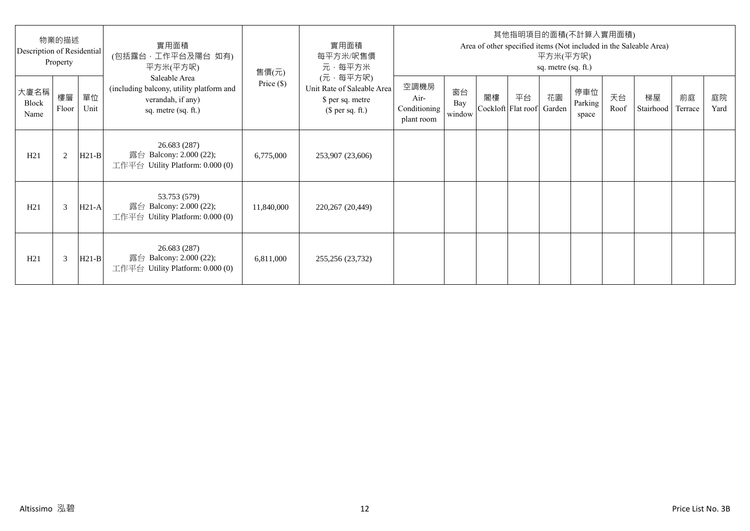| 物業的描述<br>Description of Residential<br>Property |             |            | 實用面積<br>(包括露台·工作平台及陽台 如有)<br>平方米(平方呎)                                                                 | 售價(元)        | 實用面積<br>每平方米/呎售價<br>元·每平方米                                                     | 其他指明項目的面積(不計算入實用面積)<br>Area of other specified items (Not included in the Saleable Area)<br>平方米(平方呎)<br>sq. metre (sq. ft.) |                     |    |                                 |    |                         |            |                 |               |            |
|-------------------------------------------------|-------------|------------|-------------------------------------------------------------------------------------------------------|--------------|--------------------------------------------------------------------------------|-----------------------------------------------------------------------------------------------------------------------------|---------------------|----|---------------------------------|----|-------------------------|------------|-----------------|---------------|------------|
| 大廈名稱<br>Block<br>Name                           | 樓層<br>Floor | 單位<br>Unit | Saleable Area<br>(including balcony, utility platform and<br>verandah, if any)<br>sq. metre (sq. ft.) | Price $(\$)$ | (元·每平方呎)<br>Unit Rate of Saleable Area<br>\$ per sq. metre<br>$$$ per sq. ft.) | 空調機房<br>Air-<br>Conditioning<br>plant room                                                                                  | 窗台<br>Bay<br>window | 閣樓 | 平台<br>Cockloft Flat roof Garden | 花園 | 停車位<br>Parking<br>space | 天台<br>Roof | 梯屋<br>Stairhood | 前庭<br>Terrace | 庭院<br>Yard |
| H21                                             | 2           | $H21-B$    | 26.683 (287)<br>露台 Balcony: 2.000 (22);<br>工作平台 Utility Platform: $0.000(0)$                          | 6,775,000    | 253,907 (23,606)                                                               |                                                                                                                             |                     |    |                                 |    |                         |            |                 |               |            |
| H21                                             | 3           | $H21-A$    | 53.753 (579)<br>露台 Balcony: 2.000 (22);<br>工作平台 Utility Platform: 0.000 (0)                           | 11,840,000   | 220,267 (20,449)                                                               |                                                                                                                             |                     |    |                                 |    |                         |            |                 |               |            |
| H21                                             | 3           | $H21-B$    | 26.683 (287)<br>露台 Balcony: 2.000 (22);<br>工作平台 Utility Platform: $0.000(0)$                          | 6,811,000    | 255,256 (23,732)                                                               |                                                                                                                             |                     |    |                                 |    |                         |            |                 |               |            |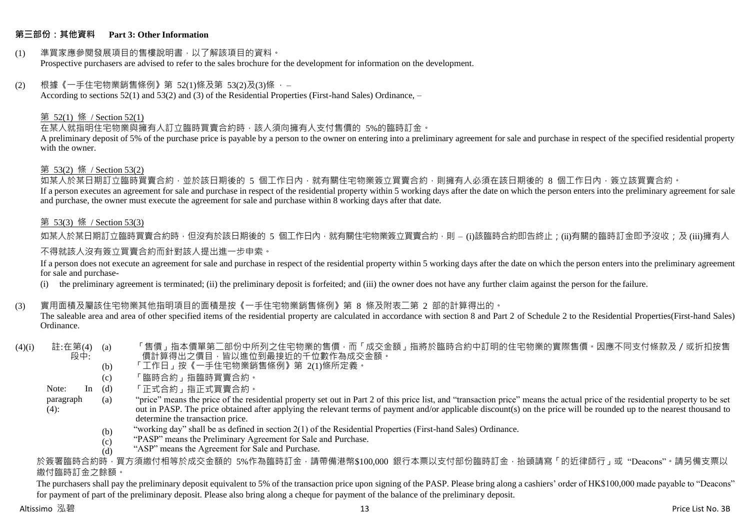#### **第三部份:其他資料 Part 3: Other Information**

#### (1) 準買家應參閱發展項目的售樓說明書,以了解該項目的資料。 Prospective purchasers are advised to refer to the sales brochure for the development for information on the development.

#### $(2)$  根據《一手住宅物業銷售條例》第 52(1)條及第 53(2)及(3)條,

According to sections 52(1) and 53(2) and (3) of the Residential Properties (First-hand Sales) Ordinance, –

#### 第 52(1) 條 / Section 52(1)

在某人就指明住宅物業與擁有人訂立臨時買賣合約時,該人須向擁有人支付售價的 5%的臨時訂金。

A preliminary deposit of 5% of the purchase price is payable by a person to the owner on entering into a preliminary agreement for sale and purchase in respect of the specified residential property with the owner.

#### 第 53(2) 條 / Section 53(2)

—————————————<br>如某人於某日期訂立臨時買賣合約,並於該日期後的 5 個工作日內,就有關住宅物業簽立買賣合約,則擁有人必須在該日期後的 8 個工作日內,簽立該買賣合約。 If a person executes an agreement for sale and purchase in respect of the residential property within 5 working days after the date on which the person enters into the preliminary agreement for sale and purchase, the owner must execute the agreement for sale and purchase within 8 working days after that date.

### 第 53(3) 條 / Section 53(3)

如某人於某日期訂立臨時買賣合約時,但沒有於該日期後的 5 個工作日內,就有關住宅物業簽立買賣合約,則 – (i)該臨時合約即告終止;(ii)有關的臨時訂金即予沒收;及 (iii)擁有人

#### 不得就該人沒有簽立買賣合約而針對該人提出進一步申索。

If a person does not execute an agreement for sale and purchase in respect of the residential property within 5 working days after the date on which the person enters into the preliminary agreement for sale and purchase-

(i) the preliminary agreement is terminated; (ii) the preliminary deposit is forfeited; and (iii) the owner does not have any further claim against the person for the failure.

#### (3) 實用面積及屬該住宅物業其他指明項目的面積是按《一手住宅物業銷售條例》第 8 條及附表二第 2 部的計算得出的。

The saleable area and area of other specified items of the residential property are calculated in accordance with section 8 and Part 2 of Schedule 2 to the Residential Properties(First-hand Sales) Ordinance.

#### $(4)(i)$  註:在第 $(4)$   $(a)$ 段中: 「售價」指本價單第二部份中所列之住宅物業的售價,而「成交金額」指將於臨時合約中訂明的住宅物業的實際售價。因應不同支付條款及/或折扣按售 價計算得出之價目,皆以進位到最接近的千位數作為成交金額。

- (b) 「工作日」按《一手住宅物業銷售條例》第 2(1)條所定義。
- (c) 「臨時合約」指臨時買賣合約。

Note:  $In (d)$ 「正式合約」指正式買賣合約。

- paragraph  $(4)$ : (a) "price" means the price of the residential property set out in Part 2 of this price list, and "transaction price" means the actual price of the residential property to be set out in PASP. The price obtained after applying the relevant terms of payment and/or applicable discount(s) on the price will be rounded up to the nearest thousand to determine the transaction price.
	- (b) "working day" shall be as defined in section 2(1) of the Residential Properties (First-hand Sales) Ordinance.
	- $(c)$ "PASP" means the Preliminary Agreement for Sale and Purchase.
	- (d) "ASP" means the Agreement for Sale and Purchase.

於簽署臨時合約時,買方須繳付相等於成交金額的 5%作為臨時訂金,請帶備港幣\$100,000 銀行本票以支付部份臨時訂金,抬頭請寫「的近律師行」或"Deacons"。請另備支票以 繳付臨時訂金之餘額。

The purchasers shall pay the preliminary deposit equivalent to 5% of the transaction price upon signing of the PASP. Please bring along a cashiers' order of HK\$100,000 made payable to "Deacons" for payment of part of the preliminary deposit. Please also bring along a cheque for payment of the balance of the preliminary deposit.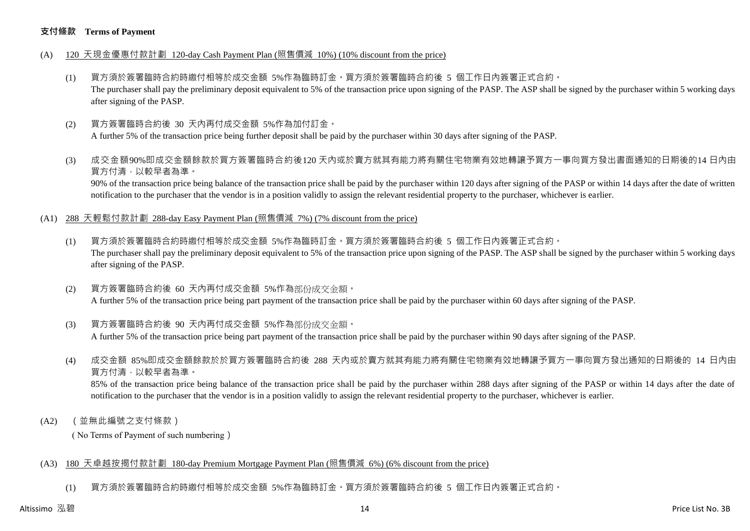#### **支付條款 Terms of Payment**

- (A) 120 天現金優惠付款計劃 120-day Cash Payment Plan (照售價減 10%) (10% discount from the price)
	- (1) 買方須於簽署臨時合約時繳付相等於成交金額 5%作為臨時訂金。買方須於簽署臨時合約後 5 個工作日內簽署正式合約。 The purchaser shall pay the preliminary deposit equivalent to 5% of the transaction price upon signing of the PASP. The ASP shall be signed by the purchaser within 5 working days after signing of the PASP.
	- (2) 買方簽署臨時合約後 30 天內再付成交金額 5%作為加付訂金。 A further 5% of the transaction price being further deposit shall be paid by the purchaser within 30 days after signing of the PASP.
	- (3) 成交金額90%即成交金額餘款於買方簽署臨時合約後120 天內或於賣方就其有能力將有關住宅物業有效地轉讓予買方一事向買方發出書面通知的日期後的14 日內由 買方付清,以較早者為準。

90% of the transaction price being balance of the transaction price shall be paid by the purchaser within 120 days after signing of the PASP or within 14 days after the date of written notification to the purchaser that the vendor is in a position validly to assign the relevant residential property to the purchaser, whichever is earlier.

- (A1) 288 天輕鬆付款計劃 288-day Easy Payment Plan (照售價減 7%) (7% discount from the price)
	- (1) 買方須於簽署臨時合約時繳付相等於成交金額 5%作為臨時訂金。買方須於簽署臨時合約後 5 個工作日內簽署正式合約。 The purchaser shall pay the preliminary deposit equivalent to 5% of the transaction price upon signing of the PASP. The ASP shall be signed by the purchaser within 5 working days after signing of the PASP.
	- (2) 買方簽署臨時合約後 60 天內再付成交金額 5%作為部份成交金額。 A further 5% of the transaction price being part payment of the transaction price shall be paid by the purchaser within 60 days after signing of the PASP.
	- (3) 買方簽署臨時合約後 90 天內再付成交金額 5%作為部份成交金額。

A further 5% of the transaction price being part payment of the transaction price shall be paid by the purchaser within 90 days after signing of the PASP.

(4) 成交金額 85%即成交金額餘款於於買方簽署臨時合約後 288 天內或於賣方就其有能力將有關住宅物業有效地轉讓予買方一事向買方發出通知的日期後的 14 日內由 買方付清,以較早者為準。

85% of the transaction price being balance of the transaction price shall be paid by the purchaser within 288 days after signing of the PASP or within 14 days after the date of notification to the purchaser that the vendor is in a position validly to assign the relevant residential property to the purchaser, whichever is earlier.

(A2) (並無此編號之支付條款)

( No Terms of Payment of such numbering)

#### (A3) 180 天卓越按揭付款計劃 180-day Premium Mortgage Payment Plan (照售價減 6%) (6% discount from the price)

(1) 買方須於簽署臨時合約時繳付相等於成交金額 5%作為臨時訂金。買方須於簽署臨時合約後 5 個工作日內簽署正式合約。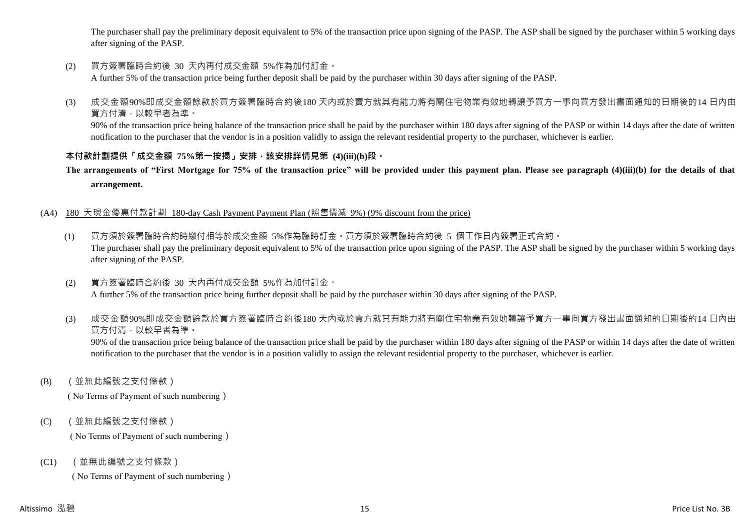The purchaser shall pay the preliminary deposit equivalent to 5% of the transaction price upon signing of the PASP. The ASP shall be signed by the purchaser within 5 working days after signing of the PASP.

(2) 買方簽署臨時合約後 30 天內再付成交金額 5%作為加付訂金。

A further 5% of the transaction price being further deposit shall be paid by the purchaser within 30 days after signing of the PASP.

(3) 成交金額90%即成交金額餘款於買方簽署臨時合約後180 天內或於賣方就其有能力將有關住宅物業有效地轉讓予買方一事向買方發出書面通知的日期後的14 日內由 買方付清,以較早者為準。

90% of the transaction price being balance of the transaction price shall be paid by the purchaser within 180 days after signing of the PASP or within 14 days after the date of written notification to the purchaser that the vendor is in a position validly to assign the relevant residential property to the purchaser, whichever is earlier.

# **本付款計劃提供「成交金額 75%第一按揭」安排,該安排詳情見第 (4)(iii)(b)段。**

**The arrangements of "First Mortgage for 75% of the transaction price" will be provided under this payment plan. Please see paragraph (4)(iii)(b) for the details of that arrangement.**

## (A4) 180 天現金優惠付款計劃 180-day Cash Payment Payment Plan (照售價減 9%) (9% discount from the price)

- (1) 買方須於簽署臨時合約時繳付相等於成交金額 5%作為臨時訂金。買方須於簽署臨時合約後 5 個工作日內簽署正式合約。 The purchaser shall pay the preliminary deposit equivalent to 5% of the transaction price upon signing of the PASP. The ASP shall be signed by the purchaser within 5 working days after signing of the PASP.
- (2) 買方簽署臨時合約後 30 天內再付成交金額 5%作為加付訂金。 A further 5% of the transaction price being further deposit shall be paid by the purchaser within 30 days after signing of the PASP.
- (3) 成交金額90%即成交金額餘款於買方簽署臨時合約後180 天內或於賣方就其有能力將有關住宅物業有效地轉讓予買方一事向買方發出書面通知的日期後的14 日內由 買方付清,以較早者為準。

90% of the transaction price being balance of the transaction price shall be paid by the purchaser within 180 days after signing of the PASP or within 14 days after the date of written notification to the purchaser that the vendor is in a position validly to assign the relevant residential property to the purchaser, whichever is earlier.

(B) (並無此編號之支付條款)

( No Terms of Payment of such numbering)

(C) (並無此編號之支付條款)

( No Terms of Payment of such numbering)

(C1) (並無此編號之支付條款)

( No Terms of Payment of such numbering)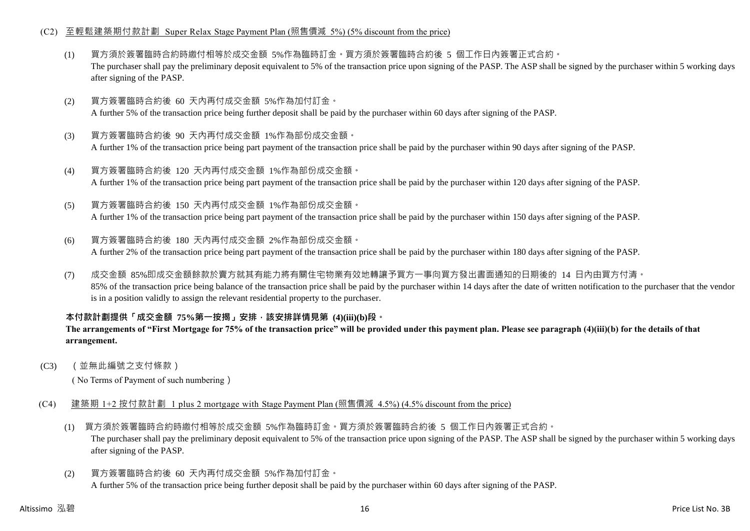#### (C2) 至輕鬆建築期付款計劃 Super Relax Stage Payment Plan (照售價減 5%) (5% discount from the price)

- (1) 買方須於簽署臨時合約時繳付相等於成交金額 5%作為臨時訂金。買方須於簽署臨時合約後 5 個工作日內簽署正式合約。 The purchaser shall pay the preliminary deposit equivalent to 5% of the transaction price upon signing of the PASP. The ASP shall be signed by the purchaser within 5 working days after signing of the PASP.
- (2) 買方簽署臨時合約後 60 天內再付成交金額 5%作為加付訂金。 A further 5% of the transaction price being further deposit shall be paid by the purchaser within 60 days after signing of the PASP.
- (3) 買方簽署臨時合約後 90 天內再付成交金額 1%作為部份成交金額。 A further 1% of the transaction price being part payment of the transaction price shall be paid by the purchaser within 90 days after signing of the PASP.
- (4) 買方簽署臨時合約後 120 天內再付成交金額 1%作為部份成交金額。 A further 1% of the transaction price being part payment of the transaction price shall be paid by the purchaser within 120 days after signing of the PASP.
- (5) 買方簽署臨時合約後 150 天內再付成交金額 1%作為部份成交金額。

A further 1% of the transaction price being part payment of the transaction price shall be paid by the purchaser within 150 days after signing of the PASP.

- (6) 買方簽署臨時合約後 180 天內再付成交金額 2%作為部份成交金額。 A further 2% of the transaction price being part payment of the transaction price shall be paid by the purchaser within 180 days after signing of the PASP.
- (7) 成交金額 85%即成交金額餘款於賣方就其有能力將有關住宅物業有效地轉讓予買方一事向買方發出書面通知的日期後的 14 日內由買方付清。 85% of the transaction price being balance of the transaction price shall be paid by the purchaser within 14 days after the date of written notification to the purchaser that the vendor is in a position validly to assign the relevant residential property to the purchaser.

# **本付款計劃提供「成交金額 75%第一按揭」安排,該安排詳情見第 (4)(iii)(b)段。**

**The arrangements of "First Mortgage for 75% of the transaction price" will be provided under this payment plan. Please see paragraph (4)(iii)(b) for the details of that arrangement.**

(C3) (並無此編號之支付條款)

( No Terms of Payment of such numbering)

- (C4) 建築期 1+2 按付款計劃 1 plus 2 mortgage with Stage Payment Plan (照售價減 4.5%) (4.5% discount from the price)
	- (1) 買方須於簽署臨時合約時繳付相等於成交金額 5%作為臨時訂金。買方須於簽署臨時合約後 5 個工作日內簽署正式合約。 The purchaser shall pay the preliminary deposit equivalent to 5% of the transaction price upon signing of the PASP. The ASP shall be signed by the purchaser within 5 working days after signing of the PASP.
	- (2) 買方簽署臨時合約後 60 天內再付成交金額 5%作為加付訂金。 A further 5% of the transaction price being further deposit shall be paid by the purchaser within 60 days after signing of the PASP.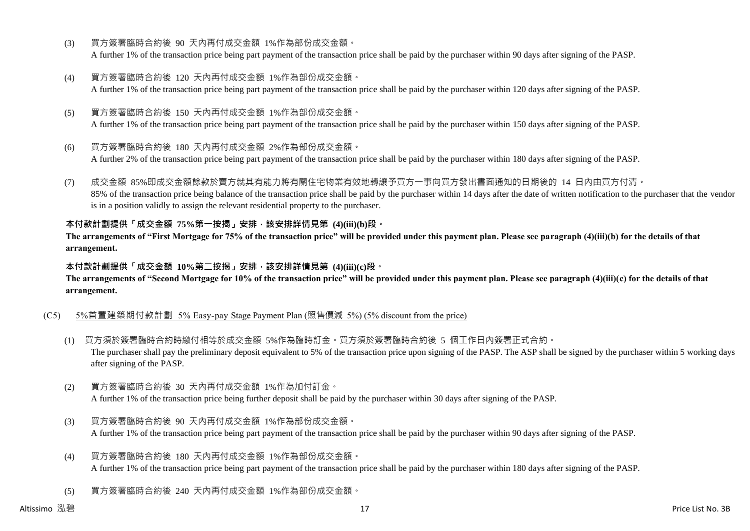- (3) 買方簽署臨時合約後 90 天內再付成交金額 1%作為部份成交金額。 A further 1% of the transaction price being part payment of the transaction price shall be paid by the purchaser within 90 days after signing of the PASP.
- (4) 買方簽署臨時合約後 120 天內再付成交金額 1%作為部份成交金額。 A further 1% of the transaction price being part payment of the transaction price shall be paid by the purchaser within 120 days after signing of the PASP.
- (5) 買方簽署臨時合約後 150 天內再付成交金額 1%作為部份成交金額。 A further 1% of the transaction price being part payment of the transaction price shall be paid by the purchaser within 150 days after signing of the PASP.
- (6) 買方簽署臨時合約後 180 天內再付成交金額 2%作為部份成交金額。

A further 2% of the transaction price being part payment of the transaction price shall be paid by the purchaser within 180 days after signing of the PASP.

(7) 成交金額 85%即成交金額餘款於賣方就其有能力將有關住宅物業有效地轉讓予買方一事向買方發出書面通知的日期後的 14 日內由買方付清。 85% of the transaction price being balance of the transaction price shall be paid by the purchaser within 14 days after the date of written notification to the purchaser that the vendor is in a position validly to assign the relevant residential property to the purchaser.

### **本付款計劃提供「成交金額 75%第一按揭」安排,該安排詳情見第 (4)(iii)(b)段。**

**The arrangements of "First Mortgage for 75% of the transaction price" will be provided under this payment plan. Please see paragraph (4)(iii)(b) for the details of that arrangement.**

#### **本付款計劃提供「成交金額 10%第二按揭」安排,該安排詳情見第 (4)(iii)(c)段。**

**The arrangements of "Second Mortgage for 10% of the transaction price" will be provided under this payment plan. Please see paragraph (4)(iii)(c) for the details of that arrangement.**

#### (C5) 5%首置建築期付款計劃 5% Easy-pay Stage Payment Plan (照售價減 5%) (5% discount from the price)

- (1) 買方須於簽署臨時合約時繳付相等於成交金額 5%作為臨時訂金。買方須於簽署臨時合約後 5 個工作日內簽署正式合約。 The purchaser shall pay the preliminary deposit equivalent to 5% of the transaction price upon signing of the PASP. The ASP shall be signed by the purchaser within 5 working days after signing of the PASP.
- (2) 買方簽署臨時合約後 30 天內再付成交金額 1%作為加付訂金。 A further 1% of the transaction price being further deposit shall be paid by the purchaser within 30 days after signing of the PASP.
- (3) 買方簽署臨時合約後 90 天內再付成交金額 1%作為部份成交金額。 A further 1% of the transaction price being part payment of the transaction price shall be paid by the purchaser within 90 days after signing of the PASP.
- (4) 買方簽署臨時合約後 180 天內再付成交金額 1%作為部份成交金額。 A further 1% of the transaction price being part payment of the transaction price shall be paid by the purchaser within 180 days after signing of the PASP.
- (5) 買方簽署臨時合約後 240 天內再付成交金額 1%作為部份成交金額。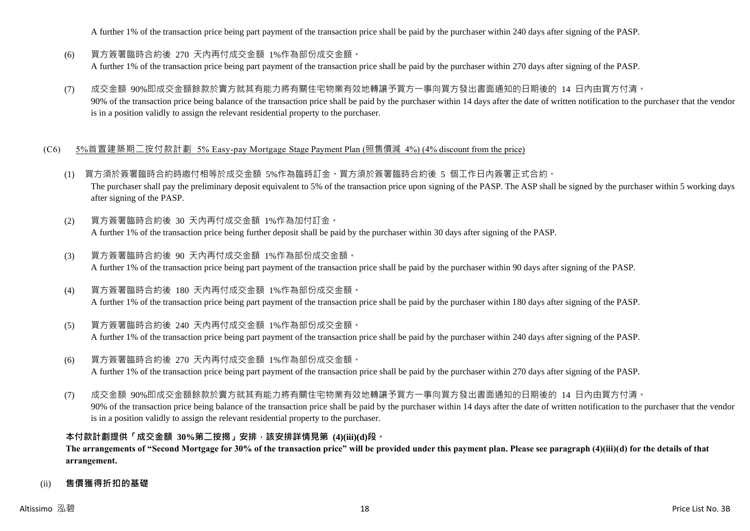A further 1% of the transaction price being part payment of the transaction price shall be paid by the purchaser within 240 days after signing of the PASP.

- (6) 買方簽署臨時合約後 270 天內再付成交金額 1%作為部份成交金額。 A further 1% of the transaction price being part payment of the transaction price shall be paid by the purchaser within 270 days after signing of the PASP.
- (7) 成交金額 90%即成交金額餘款於賣方就其有能力將有關住宅物業有效地轉讓予買方一事向買方發出書面通知的日期後的 14 日內由買方付清。 90% of the transaction price being balance of the transaction price shall be paid by the purchaser within 14 days after the date of written notification to the purchaser that the vendor is in a position validly to assign the relevant residential property to the purchaser.

#### (C6) 5%首置建築期二按付款計劃 5% Easy-pay Mortgage Stage Payment Plan (照售價減 4%) (4% discount from the price)

- (1) 買方須於簽署臨時合約時繳付相等於成交金額 5%作為臨時訂金。買方須於簽署臨時合約後 5 個工作日內簽署正式合約。 The purchaser shall pay the preliminary deposit equivalent to 5% of the transaction price upon signing of the PASP. The ASP shall be signed by the purchaser within 5 working days after signing of the PASP.
- (2) 買方簽署臨時合約後 30 天內再付成交金額 1%作為加付訂金。 A further 1% of the transaction price being further deposit shall be paid by the purchaser within 30 days after signing of the PASP.
- (3) 買方簽署臨時合約後 90 天內再付成交金額 1%作為部份成交金額。 A further 1% of the transaction price being part payment of the transaction price shall be paid by the purchaser within 90 days after signing of the PASP.
- (4) 買方簽署臨時合約後 180 天內再付成交金額 1%作為部份成交金額。 A further 1% of the transaction price being part payment of the transaction price shall be paid by the purchaser within 180 days after signing of the PASP.
- (5) 買方簽署臨時合約後 240 天內再付成交金額 1%作為部份成交金額。 A further 1% of the transaction price being part payment of the transaction price shall be paid by the purchaser within 240 days after signing of the PASP.
- (6) 買方簽署臨時合約後 270 天內再付成交金額 1%作為部份成交金額。 A further 1% of the transaction price being part payment of the transaction price shall be paid by the purchaser within 270 days after signing of the PASP.
- (7) 成交金額 90%即成交金額餘款於賣方就其有能力將有關住宅物業有效地轉讓予買方一事向買方發出書面通知的日期後的 14 日內由買方付清。 90% of the transaction price being balance of the transaction price shall be paid by the purchaser within 14 days after the date of written notification to the purchaser that the vendor is in a position validly to assign the relevant residential property to the purchaser.

# **本付款計劃提供「成交金額 30%第二按揭」安排,該安排詳情見第 (4)(iii)(d)段。**

**The arrangements of "Second Mortgage for 30% of the transaction price" will be provided under this payment plan. Please see paragraph (4)(iii)(d) for the details of that arrangement.**

#### (ii) **售價獲得折扣的基礎**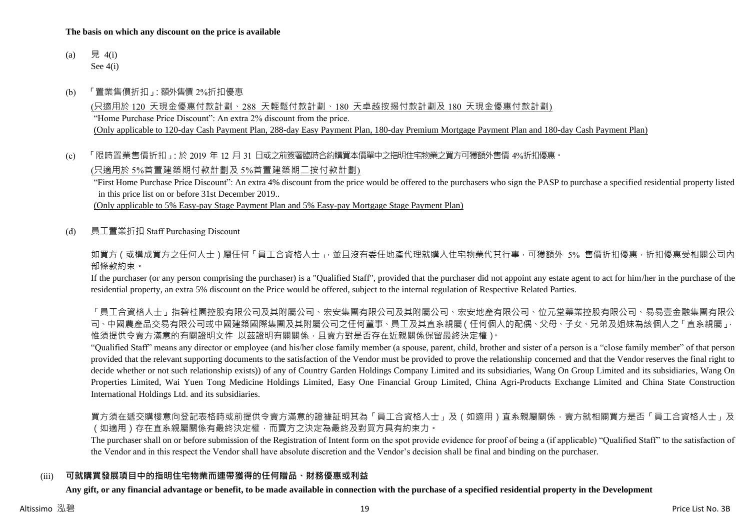#### **The basis on which any discount on the price is available**

- (a) 見 4(i) See 4(i)
- (b) 「置業售價折扣」:額外售價 2%折扣優惠

(只適用於 120 天現金優惠付款計劃、288 天輕鬆付款計劃、180 天卓越按揭付款計劃及 180 天現金優惠付款計劃) "Home Purchase Price Discount": An extra 2% discount from the price. (Only applicable to 120-day Cash Payment Plan, 288-day Easy Payment Plan, 180-day Premium Mortgage Payment Plan and 180-day Cash Payment Plan)

(c) 「限時置業售價折扣」:於 2019 年 12 月 31 日或之前簽署臨時合約購買本價單中之指明住宅物業之買方可獲額外售價 4%折扣優惠。

(只適用於 5%首置建築期付款計劃及 5%首置建築期二按付款計劃)

"First Home Purchase Price Discount": An extra 4% discount from the price would be offered to the purchasers who sign the PASP to purchase a specified residential property listed in this price list on or before 31st December 2019..

(Only applicable to 5% Easy-pay Stage Payment Plan and 5% Easy-pay Mortgage Stage Payment Plan)

(d) 員工置業折扣 Staff Purchasing Discount

如買方(或構成買方之任何人士)屬任何「員工合資格人士」,並且沒有委任地產代理就購入住宅物業代其行事,可獲額外 5% 售價折扣優惠,折扣優惠受相關公司內 部條款約束。

If the purchaser (or any person comprising the purchaser) is a "Qualified Staff", provided that the purchaser did not appoint any estate agent to act for him/her in the purchase of the residential property, an extra 5% discount on the Price would be offered, subject to the internal regulation of Respective Related Parties.

「員工合資格人士」指碧桂園控股有限公司及其附屬公司、宏安集團有限公司及其附屬公司、宏安地產有限公司、位元堂藥業控股有限公司、易易壹金融集團有限公 司、中國農產品交易有限公司或中國建築國際集團及其附屬公司之任何董事、員工及其直系親屬(任何個人的配偶、父母、子女、兄弟及姐妹為該個人之「直系親屬」, 惟須提供令賣方滿意的有關證明文件 以茲證明有關關係,且賣方對是否存在近親關係保留最終決定權)。

"Qualified Staff" means any director or employee (and his/her close family member (a spouse, parent, child, brother and sister of a person is a "close family member" of that person provided that the relevant supporting documents to the satisfaction of the Vendor must be provided to prove the relationship concerned and that the Vendor reserves the final right to decide whether or not such relationship exists)) of any of Country Garden Holdings Company Limited and its subsidiaries, Wang On Group Limited and its subsidiaries, Wang On Properties Limited, Wai Yuen Tong Medicine Holdings Limited, Easy One Financial Group Limited, China Agri-Products Exchange Limited and China State Construction International Holdings Ltd. and its subsidiaries.

買方須在遞交購樓意向登記表格時或前提供令賣方滿意的證據証明其為「員工合資格人士」及(如適用)直系親屬關係,賣方就相關買方是否「員工合資格人士」及 (如適用)存在直系親屬關係有最終決定權,而賣方之決定為最終及對買方具有約束力。

The purchaser shall on or before submission of the Registration of Intent form on the spot provide evidence for proof of being a (if applicable) "Qualified Staff" to the satisfaction of the Vendor and in this respect the Vendor shall have absolute discretion and the Vendor's decision shall be final and binding on the purchaser.

#### (iii) **可就購買發展項目中的指明住宅物業而連帶獲得的任何贈品、財務優惠或利益**

**Any gift, or any financial advantage or benefit, to be made available in connection with the purchase of a specified residential property in the Development**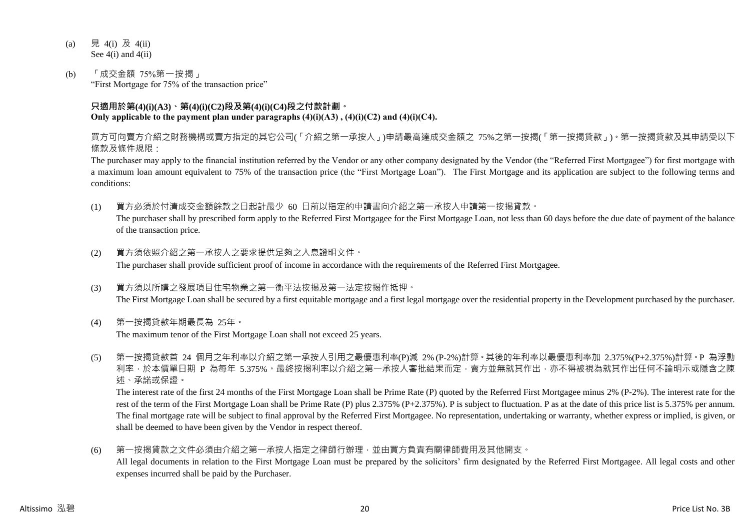- (a) 見 4(i) 及 4(ii) See 4(i) and 4(ii)
- (b) 「成交金額 75%第一按揭」 "First Mortgage for 75% of the transaction price"

#### **只適用於第(4)(i)(A3)、第(4)(i)(C2)段及第(4)(i)(C4)段之付款計劃。 Only applicable to the payment plan under paragraphs (4)(i)(A3) , (4)(i)(C2) and (4)(i)(C4).**

買方可向賣方介紹之財務機構或賣方指定的其它公司(「介紹之第一承按人」)申請最高達成交金額之 75%之第一按揭(「第一按揭貸款」)。第一按揭貸款及其申請受以下 條款及條件規限:

The purchaser may apply to the financial institution referred by the Vendor or any other company designated by the Vendor (the "Referred First Mortgagee") for first mortgage with a maximum loan amount equivalent to 75% of the transaction price (the "First Mortgage Loan"). The First Mortgage and its application are subject to the following terms and conditions:

- (1) 買方必須於付清成交金額餘款之日起計最少 60 日前以指定的申請書向介紹之第一承按人申請第一按揭貸款。 The purchaser shall by prescribed form apply to the Referred First Mortgagee for the First Mortgage Loan, not less than 60 days before the due date of payment of the balance of the transaction price.
- (2) 買方須依照介紹之第一承按人之要求提供足夠之入息證明文件。 The purchaser shall provide sufficient proof of income in accordance with the requirements of the Referred First Mortgagee.
- (3) 買方須以所購之發展項目住宅物業之第一衡平法按揭及第一法定按揭作抵押。 The First Mortgage Loan shall be secured by a first equitable mortgage and a first legal mortgage over the residential property in the Development purchased by the purchaser.
- (4) 第一按揭貸款年期最長為 25年。

The maximum tenor of the First Mortgage Loan shall not exceed 25 years.

(5) 第一按揭貸款首 24 個月之年利率以介紹之第一承按人引用之最優惠利率(P)減 2% (P-2%)計算。其後的年利率以最優惠利率加 2.375%(P+2.375%)計算。P 為浮動 利率,於本價單日期 P 為每年 5.375%。最終按揭利率以介紹之第一承按人審批結果而定,賣方並無就其作出,亦不得被視為就其作出任何不論明示或隱含之陳 述、承諾或保證。

The interest rate of the first 24 months of the First Mortgage Loan shall be Prime Rate (P) quoted by the Referred First Mortgagee minus 2% (P-2%). The interest rate for the rest of the term of the First Mortgage Loan shall be Prime Rate (P) plus 2.375% (P+2.375%). P is subject to fluctuation. P as at the date of this price list is 5.375% per annum. The final mortgage rate will be subject to final approval by the Referred First Mortgagee. No representation, undertaking or warranty, whether express or implied, is given, or shall be deemed to have been given by the Vendor in respect thereof.

(6) 第一按揭貸款之文件必須由介紹之第一承按人指定之律師行辦理,並由買方負責有關律師費用及其他開支。 All legal documents in relation to the First Mortgage Loan must be prepared by the solicitors' firm designated by the Referred First Mortgagee. All legal costs and other expenses incurred shall be paid by the Purchaser.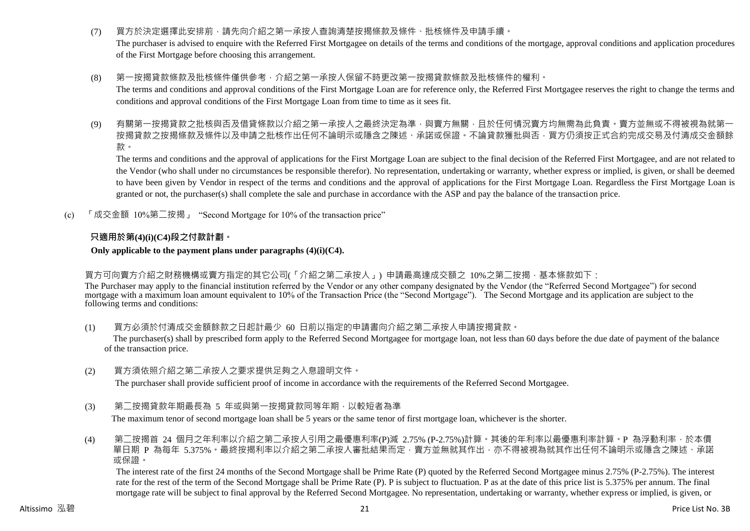- (7) 買方於決定選擇此安排前,請先向介紹之第一承按人查詢清楚按揭條款及條件、批核條件及申請手續。 The purchaser is advised to enquire with the Referred First Mortgagee on details of the terms and conditions of the mortgage, approval conditions and application procedures of the First Mortgage before choosing this arrangement.
- (8) 第一按揭貸款條款及批核條件僅供參考,介紹之第一承按人保留不時更改第一按揭貸款條款及批核條件的權利。

The terms and conditions and approval conditions of the First Mortgage Loan are for reference only, the Referred First Mortgagee reserves the right to change the terms and conditions and approval conditions of the First Mortgage Loan from time to time as it sees fit.

(9) 有關第一按揭貸款之批核與否及借貸條款以介紹之第一承按人之最終決定為準,與賣方無關,且於任何情況賣方均無需為此負責。賣方並無或不得被視為就第一 按揭貸款之按揭條款及條件以及申請之批核作出任何不論明示或隱含之陳述、承諾或保證。不論貸款獲批與否,買方仍須按正式合約完成交易及付清成交金額餘 款。

The terms and conditions and the approval of applications for the First Mortgage Loan are subject to the final decision of the Referred First Mortgagee, and are not related to the Vendor (who shall under no circumstances be responsible therefor). No representation, undertaking or warranty, whether express or implied, is given, or shall be deemed to have been given by Vendor in respect of the terms and conditions and the approval of applications for the First Mortgage Loan. Regardless the First Mortgage Loan is granted or not, the purchaser(s) shall complete the sale and purchase in accordance with the ASP and pay the balance of the transaction price.

(c) 「成交金額 10%第二按揭」 "Second Mortgage for 10% of the transaction price"

# **只適用於第(4)(i)(C4)段之付款計劃。**

#### **Only applicable to the payment plans under paragraphs (4)(i)(C4).**

#### 買方可向賣方介紹之財務機構或賣方指定的其它公司(「介紹之第二承按人」) 申請最高達成交額之 10%之第二按揭,基本條款如下:

The Purchaser may apply to the financial institution referred by the Vendor or any other company designated by the Vendor (the "Referred Second Mortgagee") for second mortgage with a maximum loan amount equivalent to 10% of the Transaction Price (the "Second Mortgage"). The Second Mortgage and its application are subject to the following terms and conditions:

(1) [1] 冒方必須於付清成交金額餘款之日起計最少 60 日前以指定的申請書向介紹之第二承按人申請按揭貸款。

The purchaser(s) shall by prescribed form apply to the Referred Second Mortgagee for mortgage loan, not less than 60 days before the due date of payment of the balance of the transaction price.

(2) 買方須依照介紹之第二承按人之要求提供足夠之入息證明文件。

The purchaser shall provide sufficient proof of income in accordance with the requirements of the Referred Second Mortgagee.

(3) 第二按揭貸款年期最長為 5 年或與第一按揭貸款同等年期,以較短者為準

The maximum tenor of second mortgage loan shall be 5 years or the same tenor of first mortgage loan, whichever is the shorter.

(4) 第二按揭首 24 個月之年利率以介紹之第二承按人引用之最優惠利率(P)減 2.75% (P-2.75%)計算。其後的年利率以最優惠利率計算。P 為浮動利率,於本價 單日期 P 為每年 5.375%。最終按揭利率以介紹之第二承按人審批結果而定,賣方並無就其作出,亦不得被視為就其作出任何不論明示或隱含之陳述、承諾 或保證。

The interest rate of the first 24 months of the Second Mortgage shall be Prime Rate (P) quoted by the Referred Second Mortgagee minus 2.75% (P-2.75%). The interest rate for the rest of the term of the Second Mortgage shall be Prime Rate (P). P is subject to fluctuation. P as at the date of this price list is 5.375% per annum. The final mortgage rate will be subject to final approval by the Referred Second Mortgagee. No representation, undertaking or warranty, whether express or implied, is given, or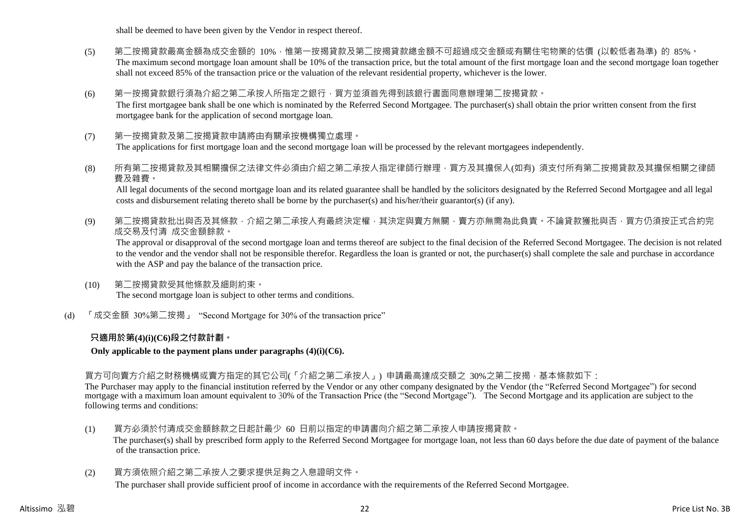shall be deemed to have been given by the Vendor in respect thereof.

- (5) 第二按揭貸款最高金額為成交金額的 10%,惟第一按揭貸款及第二按揭貸款總金額不可超過成交金額或有關住宅物業的估價 (以較低者為準) 的 85%。 The maximum second mortgage loan amount shall be 10% of the transaction price, but the total amount of the first mortgage loan and the second mortgage loan together shall not exceed 85% of the transaction price or the valuation of the relevant residential property, whichever is the lower.
- (6) 第一按揭貸款銀行須為介紹之第二承按人所指定之銀行,買方並須首先得到該銀行書面同意辦理第二按揭貸款。 The first mortgagee bank shall be one which is nominated by the Referred Second Mortgagee. The purchaser(s) shall obtain the prior written consent from the first mortgagee bank for the application of second mortgage loan.
- (7) 第一按揭貸款及第二按揭貸款申請將由有關承按機構獨立處理。 The applications for first mortgage loan and the second mortgage loan will be processed by the relevant mortgagees independently.
- (8) 所有第二按揭貸款及其相關擔保之法律文件必須由介紹之第二承按人指定律師行辦理,買方及其擔保人(如有) 須支付所有第二按揭貸款及其擔保相關之律師 費及雜費。

All legal documents of the second mortgage loan and its related guarantee shall be handled by the solicitors designated by the Referred Second Mortgagee and all legal costs and disbursement relating thereto shall be borne by the purchaser(s) and his/her/their guarantor(s) (if any).

(9) 第二按揭貸款批出與否及其條款,介紹之第二承按人有最終決定權,其決定與賣方無關,賣方亦無需為此負責。不論貸款獲批與否,買方仍須按正式合約完 成交易及付清 成交金額餘款。

The approval or disapproval of the second mortgage loan and terms thereof are subject to the final decision of the Referred Second Mortgagee. The decision is not related to the vendor and the vendor shall not be responsible therefor. Regardless the loan is granted or not, the purchaser(s) shall complete the sale and purchase in accordance with the ASP and pay the balance of the transaction price.

- (10) 第二按揭貸款受其他條款及細則約束。 The second mortgage loan is subject to other terms and conditions.
- (d) 「成交金額 30%第二按揭」 "Second Mortgage for 30% of the transaction price"

# **只適用於第(4)(i)(C6)段之付款計劃。**

**Only applicable to the payment plans under paragraphs (4)(i)(C6).**

買方可向賣方介紹之財務機構或賣方指定的其它公司(「介紹之第二承按人」) 申請最高達成交額之 30%之第二按揭,基本條款如下:

The Purchaser may apply to the financial institution referred by the Vendor or any other company designated by the Vendor (the "Referred Second Mortgagee") for second mortgage with a maximum loan amount equivalent to 30% of the Transaction Price (the "Second Mortgage"). The Second Mortgage and its application are subject to the following terms and conditions:

- (1) 買方必須於付清成交金額餘款之日起計最少 60 日前以指定的申請書向介紹之第二承按人申請按揭貸款。 The purchaser(s) shall by prescribed form apply to the Referred Second Mortgagee for mortgage loan, not less than 60 days before the due date of payment of the balance of the transaction price.
- (2) 買方須依照介紹之第二承按人之要求提供足夠之入息證明文件。 The purchaser shall provide sufficient proof of income in accordance with the requirements of the Referred Second Mortgagee.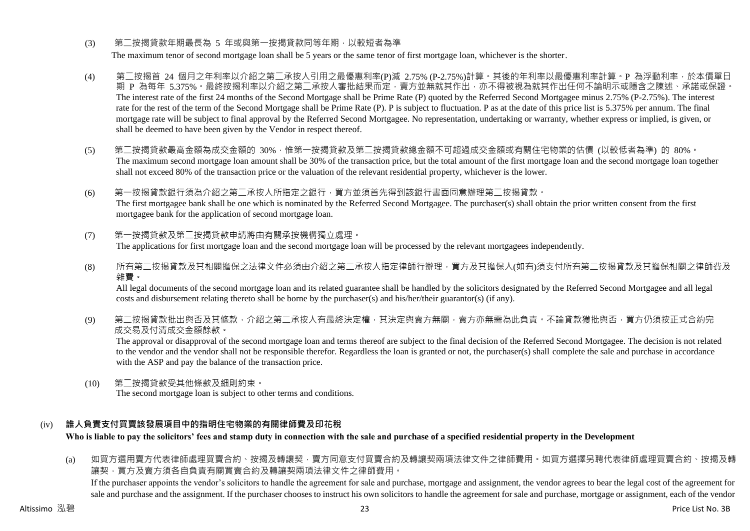## (3) 第<sup>一</sup>按揭貸款年期最長為 5 年或與第一按揭貸款同等年期, 以較短者為準

The maximum tenor of second mortgage loan shall be 5 years or the same tenor of first mortgage loan, whichever is the shorter.

- (4) 第二按揭首 24 個月之年利率以介紹之第二承按人引用之最優惠利率(P)減 2.75% (P-2.75%)計算。其後的年利率以最優惠利率計算。P 為浮動利率,於本價單日 期 P 為每年 5.375%。最終按揭利率以介紹之第<sup>一</sup>承按人審批結果而定,賣方並無就其作出,亦不得被視為就其作出任何不論明示或隱含之陳述、承諾或保證。 The interest rate of the first 24 months of the Second Mortgage shall be Prime Rate (P) quoted by the Referred Second Mortgagee minus 2.75% (P-2.75%). The interest rate for the rest of the term of the Second Mortgage shall be Prime Rate (P). P is subject to fluctuation. P as at the date of this price list is 5.375% per annum. The final mortgage rate will be subject to final approval by the Referred Second Mortgagee. No representation, undertaking or warranty, whether express or implied, is given, or shall be deemed to have been given by the Vendor in respect thereof.
- (5) 第二按揭貸款最高金額為成交金額的 30%,惟第一按揭貸款及第二按揭貸款總金額不可超過成交金額或有關住宅物業的估價 (以較低者為準) 的 80%。 The maximum second mortgage loan amount shall be 30% of the transaction price, but the total amount of the first mortgage loan and the second mortgage loan together shall not exceed 80% of the transaction price or the valuation of the relevant residential property, whichever is the lower.
- (6) 第一按揭貸款銀行須為介紹之第二承按人所指定之銀行,買方並須首先得到該銀行書面同意辦理第二按揭貸款。 The first mortgagee bank shall be one which is nominated by the Referred Second Mortgagee. The purchaser(s) shall obtain the prior written consent from the first mortgagee bank for the application of second mortgage loan.
- (7) 第一按揭貸款及第二按揭貸款申請將由有關承按機構獨立處理。 The applications for first mortgage loan and the second mortgage loan will be processed by the relevant mortgagees independently.
- (8) 所有第二按揭貸款及其相關擔保之法律文件必須由介紹之第二承按人指定律師行辦理,買方及其擔保人(如有)須支付所有第二按揭貸款及其擔保相關之律師費及 雜費。

All legal documents of the second mortgage loan and its related guarantee shall be handled by the solicitors designated by the Referred Second Mortgagee and all legal costs and disbursement relating thereto shall be borne by the purchaser(s) and his/her/their guarantor(s) (if any).

(9) 第二按揭貸款批出與否及其條款,介紹之第二承按人有最終決定權,其決定與賣方無關,賣方亦無需為此負責。不論貸款獲批與否,買方仍須按正式合約完 成交易及付清成交金額餘款。

The approval or disapproval of the second mortgage loan and terms thereof are subject to the final decision of the Referred Second Mortgagee. The decision is not related to the vendor and the vendor shall not be responsible therefor. Regardless the loan is granted or not, the purchaser(s) shall complete the sale and purchase in accordance with the ASP and pay the balance of the transaction price.

(10) 第二按揭貸款受其他條款及細則約束。 The second mortgage loan is subject to other terms and conditions.

# (iv) **誰人負責支付買賣該發展項目中的指明住宅物業的有關律師費及印花稅**

**Who is liable to pay the solicitors' fees and stamp duty in connection with the sale and purchase of a specified residential property in the Development**

(a) 如買方選用賣方代表律師處理買賣合約、按揭及轉讓契,賣方同意支付買賣合約及轉讓契兩項法律文件之律師費用。如買方選擇另聘代表律師處理買賣合約、按揭及轉 讓契,買方及賣方須各自負責有關買賣合約及轉讓契兩項法律文件之律師費用。

If the purchaser appoints the vendor's solicitors to handle the agreement for sale and purchase, mortgage and assignment, the vendor agrees to bear the legal cost of the agreement for sale and purchase and the assignment. If the purchaser chooses to instruct his own solicitors to handle the agreement for sale and purchase, mortgage or assignment, each of the vendor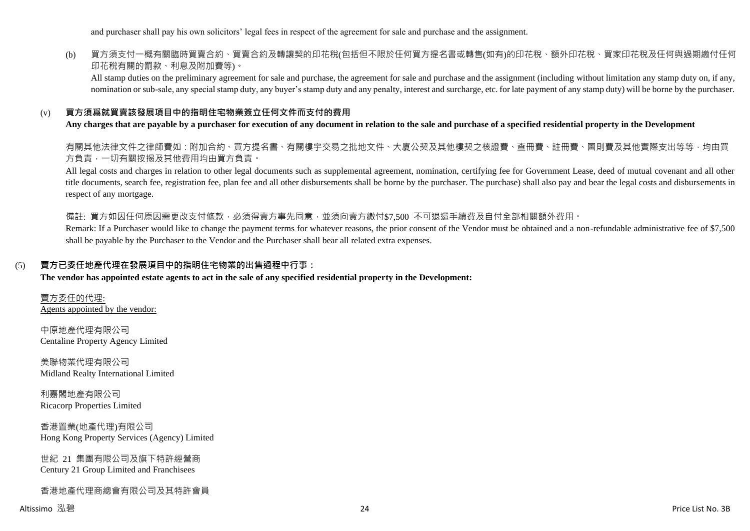and purchaser shall pay his own solicitors' legal fees in respect of the agreement for sale and purchase and the assignment.

# (b) 買方須支付一概有關臨時買賣合約、買賣合約及轉讓契的印花稅(包括但不限於任何買方提名書或轉售(如有)的印花稅、額外印花稅、買家印花稅及任何與過期繳付任何 印花稅有關的罰款、利息及附加費等)。

All stamp duties on the preliminary agreement for sale and purchase, the agreement for sale and purchase and the assignment (including without limitation any stamp duty on, if any, nomination or sub-sale, any special stamp duty, any buyer's stamp duty and any penalty, interest and surcharge, etc. for late payment of any stamp duty) will be borne by the purchaser.

#### (v) **買方須爲就買賣該發展項目中的指明住宅物業簽立任何文件而支付的費用**

**Any charges that are payable by a purchaser for execution of any document in relation to the sale and purchase of a specified residential property in the Development**

有關其他法律文件之律師費如:附加合約、買方提名書、有關樓宇交易之批地文件、大廈公契及其他樓契之核證費、查冊費、註冊費、圖則費及其他實際支出等等,均由買 方負責,一切有關按揭及其他費用均由買方負責。

All legal costs and charges in relation to other legal documents such as supplemental agreement, nomination, certifying fee for Government Lease, deed of mutual covenant and all other title documents, search fee, registration fee, plan fee and all other disbursements shall be borne by the purchaser. The purchase) shall also pay and bear the legal costs and disbursements in respect of any mortgage.

備註: 買方如因任何原因需更改支付條款,必須得賣方事先同意,並須向賣方繳付\$7,500 不可狠還手續費及自付全部相關額外費用。

Remark: If a Purchaser would like to change the payment terms for whatever reasons, the prior consent of the Vendor must be obtained and a non-refundable administrative fee of \$7,500 shall be payable by the Purchaser to the Vendor and the Purchaser shall bear all related extra expenses.

#### (5) **賣方已委任地產代理在發展項目中的指明住宅物業的出售過程中行事:**

**The vendor has appointed estate agents to act in the sale of any specified residential property in the Development:**

賣方委任的代理: Agents appointed by the vendor:

中原地產代理有限公司 Centaline Property Agency Limited

美聯物業代理有限公司 Midland Realty International Limited

利嘉閣地產有限公司 Ricacorp Properties Limited

香港置業(地產代理)有限公司 Hong Kong Property Services (Agency) Limited

世紀 21 集團有限公司及旗下特許經營商 Century 21 Group Limited and Franchisees

香港地產代理商總會有限公司及其特許會員